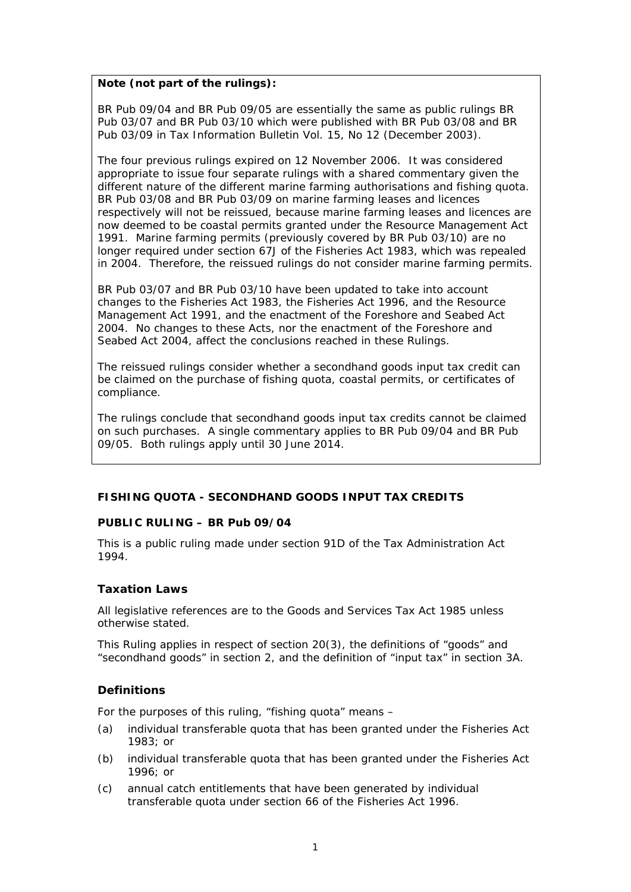### **Note (not part of the rulings):**

BR Pub 09/04 and BR Pub 09/05 are essentially the same as public rulings BR Pub 03/07 and BR Pub 03/10 which were published with BR Pub 03/08 and BR Pub 03/09 in *Tax Information Bulletin* Vol. 15, No 12 (December 2003).

The four previous rulings expired on 12 November 2006. It was considered appropriate to issue four separate rulings with a shared commentary given the different nature of the different marine farming authorisations and fishing quota. BR Pub 03/08 and BR Pub 03/09 on marine farming leases and licences respectively will not be reissued, because marine farming leases and licences are now deemed to be coastal permits granted under the Resource Management Act 1991. Marine farming permits (previously covered by BR Pub 03/10) are no longer required under section 67J of the Fisheries Act 1983, which was repealed in 2004. Therefore, the reissued rulings do not consider marine farming permits.

BR Pub 03/07 and BR Pub 03/10 have been updated to take into account changes to the Fisheries Act 1983, the Fisheries Act 1996, and the Resource Management Act 1991, and the enactment of the Foreshore and Seabed Act 2004. No changes to these Acts, nor the enactment of the Foreshore and Seabed Act 2004, affect the conclusions reached in these Rulings.

The reissued rulings consider whether a secondhand goods input tax credit can be claimed on the purchase of fishing quota, coastal permits, or certificates of compliance.

The rulings conclude that secondhand goods input tax credits cannot be claimed on such purchases. A single commentary applies to BR Pub 09/04 and BR Pub 09/05. Both rulings apply until 30 June 2014.

### **FISHING QUOTA - SECONDHAND GOODS INPUT TAX CREDITS**

### **PUBLIC RULING – BR Pub 09/04**

This is a public ruling made under section 91D of the Tax Administration Act 1994.

### **Taxation Laws**

All legislative references are to the Goods and Services Tax Act 1985 unless otherwise stated.

This Ruling applies in respect of section 20(3), the definitions of "goods" and "secondhand goods" in section 2, and the definition of "input tax" in section 3A.

### **Definitions**

For the purposes of this ruling, "fishing quota" means –

- (a) individual transferable quota that has been granted under the Fisheries Act 1983; or
- (b) individual transferable quota that has been granted under the Fisheries Act 1996; or
- (c) annual catch entitlements that have been generated by individual transferable quota under section 66 of the Fisheries Act 1996.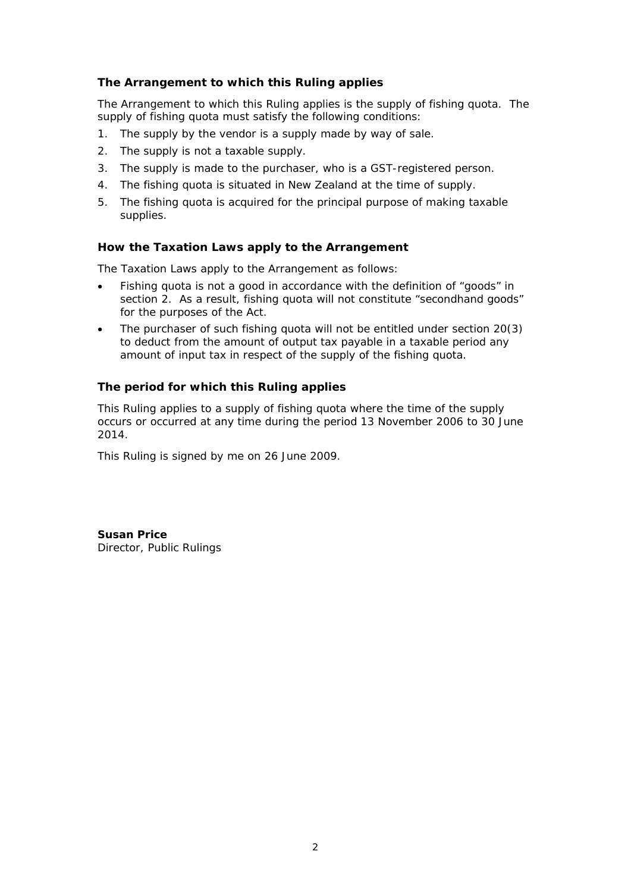# **The Arrangement to which this Ruling applies**

The Arrangement to which this Ruling applies is the supply of fishing quota. The supply of fishing quota must satisfy the following conditions:

- 1. The supply by the vendor is a supply made by way of sale.
- 2. The supply is not a taxable supply.
- 3. The supply is made to the purchaser, who is a GST-registered person.
- 4. The fishing quota is situated in New Zealand at the time of supply.
- 5. The fishing quota is acquired for the principal purpose of making taxable supplies.

### **How the Taxation Laws apply to the Arrangement**

The Taxation Laws apply to the Arrangement as follows:

- Fishing quota is not a good in accordance with the definition of "goods" in section 2. As a result, fishing quota will not constitute "secondhand goods" for the purposes of the Act.
- The purchaser of such fishing quota will not be entitled under section 20(3) to deduct from the amount of output tax payable in a taxable period any amount of input tax in respect of the supply of the fishing quota.

### **The period for which this Ruling applies**

This Ruling applies to a supply of fishing quota where the time of the supply occurs or occurred at any time during the period 13 November 2006 to 30 June 2014.

This Ruling is signed by me on 26 June 2009.

**Susan Price**  Director, Public Rulings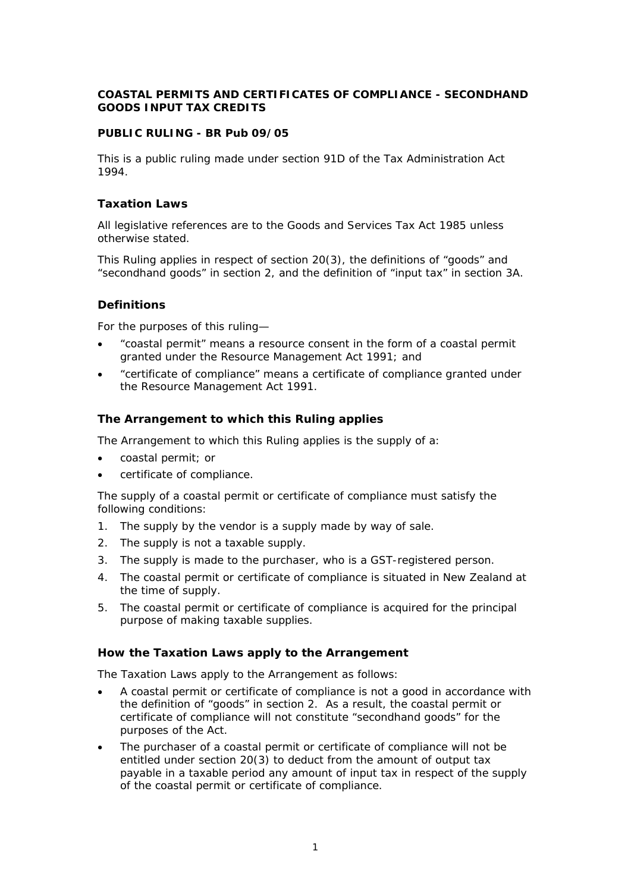### **COASTAL PERMITS AND CERTIFICATES OF COMPLIANCE - SECONDHAND GOODS INPUT TAX CREDITS**

### **PUBLIC RULING - BR Pub 09/05**

This is a public ruling made under section 91D of the Tax Administration Act 1994.

### **Taxation Laws**

All legislative references are to the Goods and Services Tax Act 1985 unless otherwise stated.

This Ruling applies in respect of section 20(3), the definitions of "goods" and "secondhand goods" in section 2, and the definition of "input tax" in section 3A.

### **Definitions**

For the purposes of this ruling—

- "coastal permit" means a resource consent in the form of a coastal permit granted under the Resource Management Act 1991; and
- "certificate of compliance" means a certificate of compliance granted under the Resource Management Act 1991.

### **The Arrangement to which this Ruling applies**

The Arrangement to which this Ruling applies is the supply of a:

- coastal permit; or
- certificate of compliance.

The supply of a coastal permit or certificate of compliance must satisfy the following conditions:

- 1. The supply by the vendor is a supply made by way of sale.
- 2. The supply is not a taxable supply.
- 3. The supply is made to the purchaser, who is a GST-registered person.
- 4. The coastal permit or certificate of compliance is situated in New Zealand at the time of supply.
- 5. The coastal permit or certificate of compliance is acquired for the principal purpose of making taxable supplies.

### **How the Taxation Laws apply to the Arrangement**

The Taxation Laws apply to the Arrangement as follows:

- A coastal permit or certificate of compliance is not a good in accordance with the definition of "goods" in section 2. As a result, the coastal permit or certificate of compliance will not constitute "secondhand goods" for the purposes of the Act.
- The purchaser of a coastal permit or certificate of compliance will not be entitled under section 20(3) to deduct from the amount of output tax payable in a taxable period any amount of input tax in respect of the supply of the coastal permit or certificate of compliance.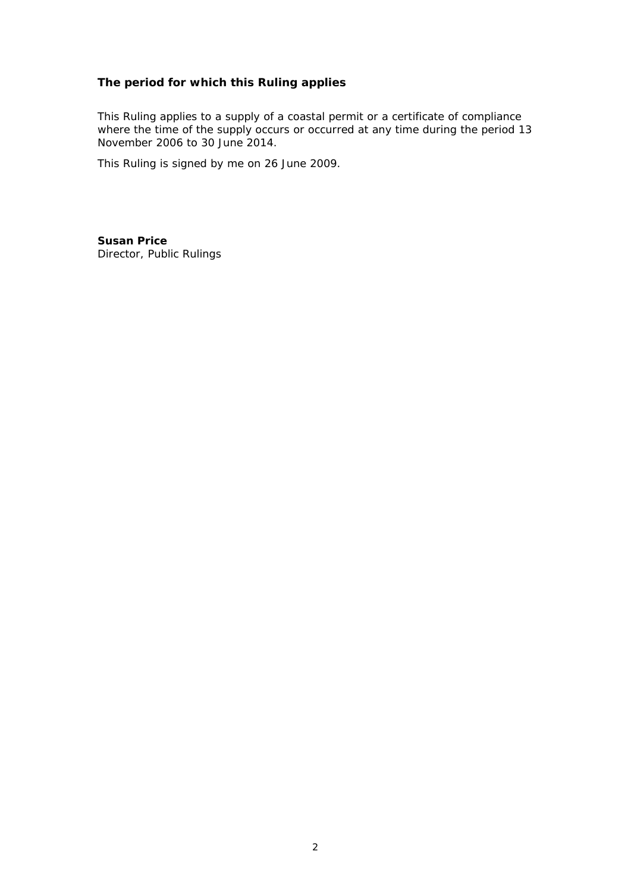# **The period for which this Ruling applies**

This Ruling applies to a supply of a coastal permit or a certificate of compliance where the time of the supply occurs or occurred at any time during the period 13 November 2006 to 30 June 2014.

This Ruling is signed by me on 26 June 2009.

**Susan Price**  Director, Public Rulings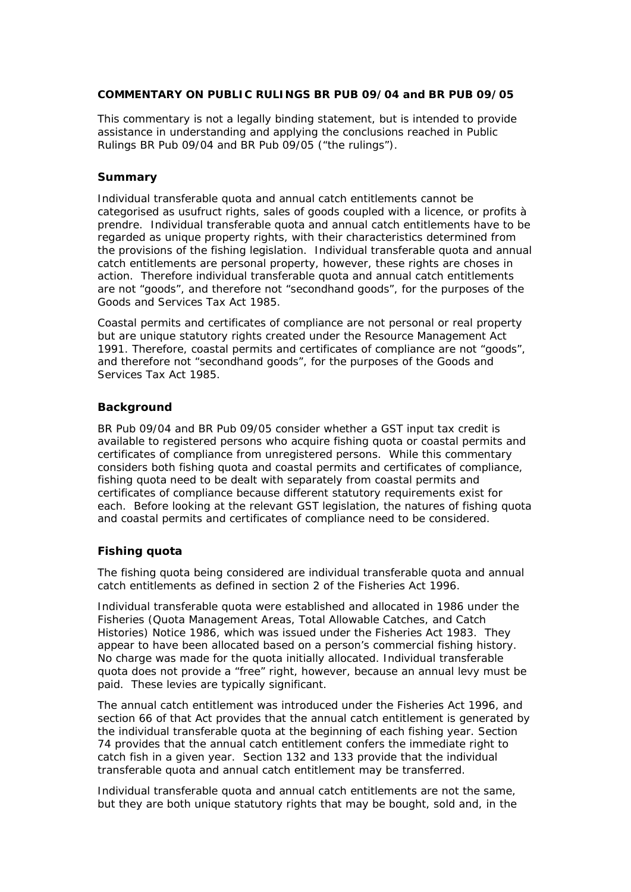### **COMMENTARY ON PUBLIC RULINGS BR PUB 09/04 and BR PUB 09/05**

This commentary is not a legally binding statement, but is intended to provide assistance in understanding and applying the conclusions reached in Public Rulings BR Pub 09/04 and BR Pub 09/05 ("the rulings").

### **Summary**

Individual transferable quota and annual catch entitlements cannot be categorised as usufruct rights, sales of goods coupled with a licence, or profits à prendre. Individual transferable quota and annual catch entitlements have to be regarded as unique property rights, with their characteristics determined from the provisions of the fishing legislation. Individual transferable quota and annual catch entitlements are personal property, however, these rights are choses in action. Therefore individual transferable quota and annual catch entitlements are not "goods", and therefore not "secondhand goods", for the purposes of the Goods and Services Tax Act 1985.

Coastal permits and certificates of compliance are not personal or real property but are unique statutory rights created under the Resource Management Act 1991. Therefore, coastal permits and certificates of compliance are not "goods", and therefore not "secondhand goods", for the purposes of the Goods and Services Tax Act 1985.

### **Background**

BR Pub 09/04 and BR Pub 09/05 consider whether a GST input tax credit is available to registered persons who acquire fishing quota or coastal permits and certificates of compliance from unregistered persons. While this commentary considers both fishing quota and coastal permits and certificates of compliance, fishing quota need to be dealt with separately from coastal permits and certificates of compliance because different statutory requirements exist for each. Before looking at the relevant GST legislation, the natures of fishing quota and coastal permits and certificates of compliance need to be considered.

### **Fishing quota**

The fishing quota being considered are individual transferable quota and annual catch entitlements as defined in section 2 of the Fisheries Act 1996.

Individual transferable quota were established and allocated in 1986 under the Fisheries (Quota Management Areas, Total Allowable Catches, and Catch Histories) Notice 1986, which was issued under the Fisheries Act 1983. They appear to have been allocated based on a person's commercial fishing history. No charge was made for the quota initially allocated. Individual transferable quota does not provide a "free" right, however, because an annual levy must be paid. These levies are typically significant.

The annual catch entitlement was introduced under the Fisheries Act 1996, and section 66 of that Act provides that the annual catch entitlement is generated by the individual transferable quota at the beginning of each fishing year. Section 74 provides that the annual catch entitlement confers the immediate right to catch fish in a given year. Section 132 and 133 provide that the individual transferable quota and annual catch entitlement may be transferred.

Individual transferable quota and annual catch entitlements are not the same, but they are both unique statutory rights that may be bought, sold and, in the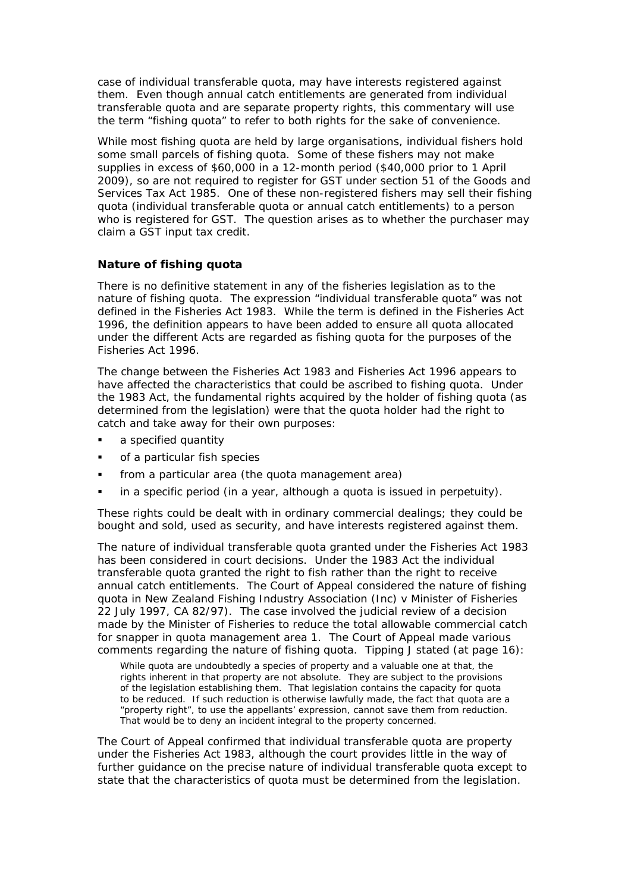case of individual transferable quota, may have interests registered against them. Even though annual catch entitlements are generated from individual transferable quota and are separate property rights, this commentary will use the term "fishing quota" to refer to both rights for the sake of convenience.

While most fishing quota are held by large organisations, individual fishers hold some small parcels of fishing quota. Some of these fishers may not make supplies in excess of \$60,000 in a 12-month period (\$40,000 prior to 1 April 2009), so are not required to register for GST under section 51 of the Goods and Services Tax Act 1985. One of these non-registered fishers may sell their fishing quota (individual transferable quota or annual catch entitlements) to a person who is registered for GST. The question arises as to whether the purchaser may claim a GST input tax credit.

### **Nature of fishing quota**

There is no definitive statement in any of the fisheries legislation as to the nature of fishing quota. The expression "individual transferable quota" was not defined in the Fisheries Act 1983. While the term is defined in the Fisheries Act 1996, the definition appears to have been added to ensure all quota allocated under the different Acts are regarded as fishing quota for the purposes of the Fisheries Act 1996.

The change between the Fisheries Act 1983 and Fisheries Act 1996 appears to have affected the characteristics that could be ascribed to fishing quota. Under the 1983 Act, the fundamental rights acquired by the holder of fishing quota (as determined from the legislation) were that the quota holder had the right to catch and take away for their own purposes:

- a specified quantity
- of a particular fish species
- from a particular area (the quota management area)
- in a specific period (in a year, although a quota is issued in perpetuity).

These rights could be dealt with in ordinary commercial dealings; they could be bought and sold, used as security, and have interests registered against them.

The nature of individual transferable quota granted under the Fisheries Act 1983 has been considered in court decisions. Under the 1983 Act the individual transferable quota granted the right to fish rather than the right to receive annual catch entitlements. The Court of Appeal considered the nature of fishing quota in *New Zealand Fishing Industry Association (Inc) v Minister of Fisheries* 22 July 1997, CA 82/97). The case involved the judicial review of a decision made by the Minister of Fisheries to reduce the total allowable commercial catch for snapper in quota management area 1. The Court of Appeal made various comments regarding the nature of fishing quota. Tipping J stated (at page 16):

While quota are undoubtedly a species of property and a valuable one at that, the rights inherent in that property are not absolute. They are subject to the provisions of the legislation establishing them. That legislation contains the capacity for quota to be reduced. If such reduction is otherwise lawfully made, the fact that quota are a "property right", to use the appellants' expression, cannot save them from reduction. That would be to deny an incident integral to the property concerned.

The Court of Appeal confirmed that individual transferable quota are property under the Fisheries Act 1983, although the court provides little in the way of further guidance on the precise nature of individual transferable quota except to state that the characteristics of quota must be determined from the legislation.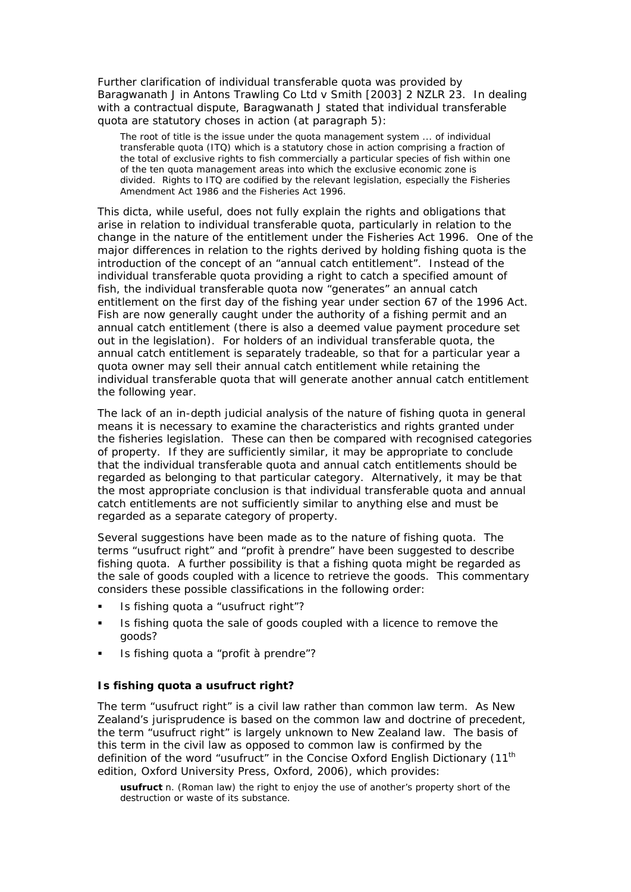Further clarification of individual transferable quota was provided by Baragwanath J in *Antons Trawling Co Ltd v Smith* [2003] 2 NZLR 23. In dealing with a contractual dispute, Baragwanath J stated that individual transferable quota are statutory choses in action (at paragraph 5):

The root of title is the issue under the quota management system ... of individual transferable quota (ITQ) which is a statutory chose in action comprising a fraction of the total of exclusive rights to fish commercially a particular species of fish within one of the ten quota management areas into which the exclusive economic zone is divided. Rights to ITQ are codified by the relevant legislation, especially the Fisheries Amendment Act 1986 and the Fisheries Act 1996.

This dicta, while useful, does not fully explain the rights and obligations that arise in relation to individual transferable quota, particularly in relation to the change in the nature of the entitlement under the Fisheries Act 1996. One of the major differences in relation to the rights derived by holding fishing quota is the introduction of the concept of an "annual catch entitlement". Instead of the individual transferable quota providing a right to catch a specified amount of fish, the individual transferable quota now "generates" an annual catch entitlement on the first day of the fishing year under section 67 of the 1996 Act. Fish are now generally caught under the authority of a fishing permit and an annual catch entitlement (there is also a deemed value payment procedure set out in the legislation). For holders of an individual transferable quota, the annual catch entitlement is separately tradeable, so that for a particular year a quota owner may sell their annual catch entitlement while retaining the individual transferable quota that will generate another annual catch entitlement the following year.

The lack of an in-depth judicial analysis of the nature of fishing quota in general means it is necessary to examine the characteristics and rights granted under the fisheries legislation. These can then be compared with recognised categories of property. If they are sufficiently similar, it may be appropriate to conclude that the individual transferable quota and annual catch entitlements should be regarded as belonging to that particular category. Alternatively, it may be that the most appropriate conclusion is that individual transferable quota and annual catch entitlements are not sufficiently similar to anything else and must be regarded as a separate category of property.

Several suggestions have been made as to the nature of fishing quota. The terms "usufruct right" and "profit à prendre" have been suggested to describe fishing quota. A further possibility is that a fishing quota might be regarded as the sale of goods coupled with a licence to retrieve the goods. This commentary considers these possible classifications in the following order:

- Is fishing quota a "usufruct right"?
- Is fishing quota the sale of goods coupled with a licence to remove the goods?
- Is fishing quota a "profit à prendre"?

### *Is fishing quota a usufruct right?*

The term "usufruct right" is a civil law rather than common law term. As New Zealand's jurisprudence is based on the common law and doctrine of precedent, the term "usufruct right" is largely unknown to New Zealand law. The basis of this term in the civil law as opposed to common law is confirmed by the definition of the word "usufruct" in the *Concise Oxford English Dictionary* (11th edition, Oxford University Press, Oxford, 2006), which provides:

**usufruct** *n.* (Roman law) the right to enjoy the use of another's property short of the destruction or waste of its substance.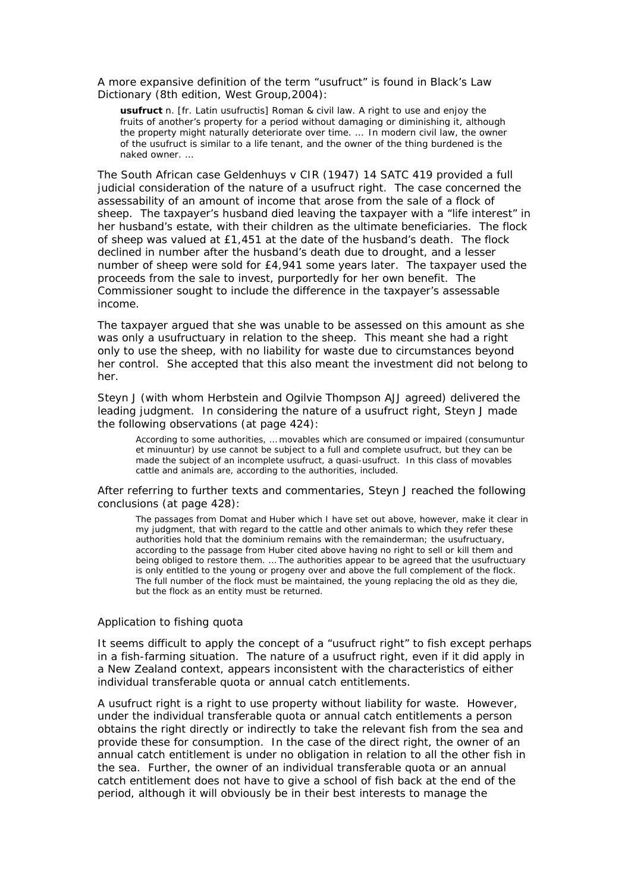A more expansive definition of the term "usufruct" is found in *Black's Law Dictionary* (8th edition, West Group,2004):

**usufruct** *n.* [fr. Latin *usufructis*] *Roman & civil law*. A right to use and enjoy the fruits of another's property for a period without damaging or diminishing it, although the property might naturally deteriorate over time. … In modern civil law, the owner of the usufruct is similar to a life tenant, and the owner of the thing burdened is the *naked owner*. …

The South African case *Geldenhuys v CIR* (1947) 14 SATC 419 provided a full judicial consideration of the nature of a usufruct right. The case concerned the assessability of an amount of income that arose from the sale of a flock of sheep. The taxpayer's husband died leaving the taxpayer with a "life interest" in her husband's estate, with their children as the ultimate beneficiaries. The flock of sheep was valued at £1,451 at the date of the husband's death. The flock declined in number after the husband's death due to drought, and a lesser number of sheep were sold for £4,941 some years later. The taxpayer used the proceeds from the sale to invest, purportedly for her own benefit. The Commissioner sought to include the difference in the taxpayer's assessable income.

The taxpayer argued that she was unable to be assessed on this amount as she was only a usufructuary in relation to the sheep. This meant she had a right only to use the sheep, with no liability for waste due to circumstances beyond her control. She accepted that this also meant the investment did not belong to her.

Steyn J (with whom Herbstein and Ogilvie Thompson AJJ agreed) delivered the leading judgment. In considering the nature of a usufruct right, Steyn J made the following observations (at page 424):

According to some authorities, … movables which are consumed or impaired (*consumuntur et minuuntur*) by use cannot be subject to a full and complete usufruct, but they can be made the subject of an incomplete usufruct, a quasi-usufruct. In this class of movables cattle and animals are, according to the authorities, included.

After referring to further texts and commentaries, Steyn J reached the following conclusions (at page 428):

The passages from *Domat* and *Huber* which I have set out above, however, make it clear in my judgment, that with regard to the cattle and other animals to which they refer these authorities hold that the *dominium* remains with the remainderman; the usufructuary, according to the passage from *Huber* cited above having no right to sell or kill them and being obliged to restore them. … The authorities appear to be agreed that the usufructuary is only entitled to the young or progeny over and above the full complement of the flock. The full number of the flock must be maintained, the young replacing the old as they die, but the flock as an entity must be returned.

#### *Application to fishing quota*

It seems difficult to apply the concept of a "usufruct right" to fish except perhaps in a fish-farming situation. The nature of a usufruct right, even if it did apply in a New Zealand context, appears inconsistent with the characteristics of either individual transferable quota or annual catch entitlements.

A usufruct right is a right to use property without liability for waste. However, under the individual transferable quota or annual catch entitlements a person obtains the right directly or indirectly to take the relevant fish from the sea and provide these for consumption. In the case of the direct right, the owner of an annual catch entitlement is under no obligation in relation to all the other fish in the sea. Further, the owner of an individual transferable quota or an annual catch entitlement does not have to give a school of fish back at the end of the period, although it will obviously be in their best interests to manage the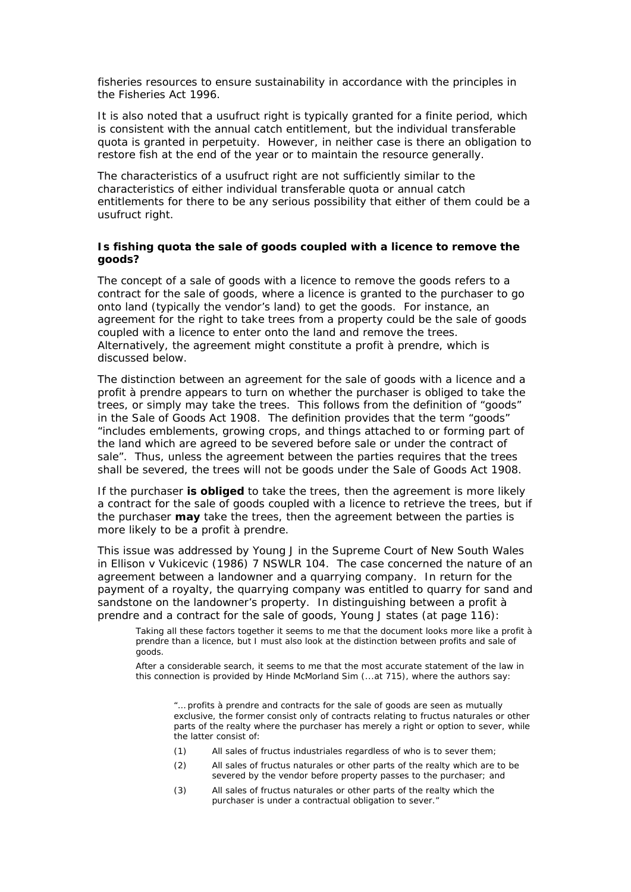fisheries resources to ensure sustainability in accordance with the principles in the Fisheries Act 1996.

It is also noted that a usufruct right is typically granted for a finite period, which is consistent with the annual catch entitlement, but the individual transferable quota is granted in perpetuity. However, in neither case is there an obligation to restore fish at the end of the year or to maintain the resource generally.

The characteristics of a usufruct right are not sufficiently similar to the characteristics of either individual transferable quota or annual catch entitlements for there to be any serious possibility that either of them could be a usufruct right.

### *Is fishing quota the sale of goods coupled with a licence to remove the goods?*

The concept of a sale of goods with a licence to remove the goods refers to a contract for the sale of goods, where a licence is granted to the purchaser to go onto land (typically the vendor's land) to get the goods. For instance, an agreement for the right to take trees from a property could be the sale of goods coupled with a licence to enter onto the land and remove the trees. Alternatively, the agreement might constitute a profit à prendre, which is discussed below.

The distinction between an agreement for the sale of goods with a licence and a profit à prendre appears to turn on whether the purchaser is obliged to take the trees, or simply may take the trees. This follows from the definition of "goods" in the Sale of Goods Act 1908. The definition provides that the term "goods" "includes emblements, growing crops, and things attached to or forming part of the land which are agreed to be severed before sale or under the contract of sale". Thus, unless the agreement between the parties requires that the trees shall be severed, the trees will not be goods under the Sale of Goods Act 1908.

If the purchaser *is obliged* to take the trees, then the agreement is more likely a contract for the sale of goods coupled with a licence to retrieve the trees, but if the purchaser *may* take the trees, then the agreement between the parties is more likely to be a profit à prendre.

This issue was addressed by Young J in the Supreme Court of New South Wales in *Ellison v Vukicevic* (1986) 7 NSWLR 104. The case concerned the nature of an agreement between a landowner and a quarrying company. In return for the payment of a royalty, the quarrying company was entitled to quarry for sand and sandstone on the landowner's property. In distinguishing between a profit à prendre and a contract for the sale of goods, Young J states (at page 116):

Taking all these factors together it seems to me that the document looks more like a profit à prendre than a licence, but I must also look at the distinction between profits and sale of goods.

After a considerable search, it seems to me that the most accurate statement of the law in this connection is provided by *Hinde McMorland Sim* (...at 715), where the authors say:

"… profits à prendre and contracts for the sale of goods are seen as mutually exclusive, the former consist only of contracts relating to fructus naturales or other parts of the realty where the purchaser has merely a right or option to sever, while the latter consist of:

- (1) All sales of fructus industriales regardless of who is to sever them;
- (2) All sales of fructus naturales or other parts of the realty which are to be severed by the vendor before property passes to the purchaser; and
- (3) All sales of fructus naturales or other parts of the realty which the purchaser is under a contractual obligation to sever."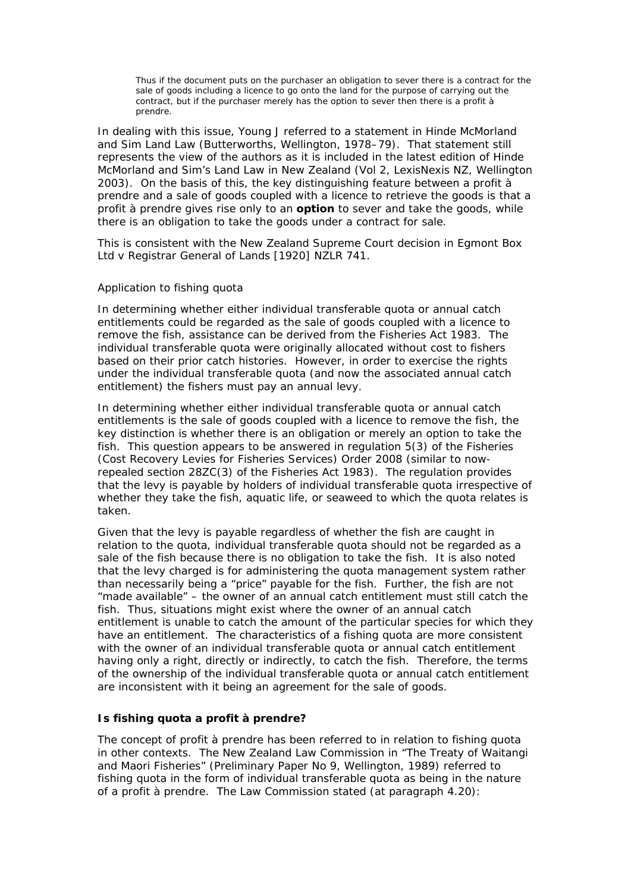Thus if the document puts on the purchaser an obligation to sever there is a contract for the sale of goods including a licence to go onto the land for the purpose of carrying out the contract, but if the purchaser merely has the option to sever then there is a profit à prendre.

In dealing with this issue, Young J referred to a statement in *Hinde McMorland and Sim Land Law* (Butterworths, Wellington, 1978–79). That statement still represents the view of the authors as it is included in the latest edition of *Hinde McMorland and Sim's Land Law in New Zealand* (Vol 2, LexisNexis NZ, Wellington 2003). On the basis of this, the key distinguishing feature between a profit à prendre and a sale of goods coupled with a licence to retrieve the goods is that a profit à prendre gives rise only to an *option* to sever and take the goods, while there is an obligation to take the goods under a contract for sale.

This is consistent with the New Zealand Supreme Court decision in *Egmont Box Ltd v Registrar General of Lands* [1920] NZLR 741.

### *Application to fishing quota*

In determining whether either individual transferable quota or annual catch entitlements could be regarded as the sale of goods coupled with a licence to remove the fish, assistance can be derived from the Fisheries Act 1983. The individual transferable quota were originally allocated without cost to fishers based on their prior catch histories. However, in order to exercise the rights under the individual transferable quota (and now the associated annual catch entitlement) the fishers must pay an annual levy.

In determining whether either individual transferable quota or annual catch entitlements is the sale of goods coupled with a licence to remove the fish, the key distinction is whether there is an obligation or merely an option to take the fish. This question appears to be answered in regulation 5(3) of the Fisheries (Cost Recovery Levies for Fisheries Services) Order 2008 (similar to nowrepealed section 28ZC(3) of the Fisheries Act 1983). The regulation provides that the levy is payable by holders of individual transferable quota irrespective of whether they take the fish, aquatic life, or seaweed to which the quota relates is taken.

Given that the levy is payable regardless of whether the fish are caught in relation to the quota, individual transferable quota should not be regarded as a sale of the fish because there is no obligation to take the fish. It is also noted that the levy charged is for administering the quota management system rather than necessarily being a "price" payable for the fish. Further, the fish are not "made available" – the owner of an annual catch entitlement must still catch the fish. Thus, situations might exist where the owner of an annual catch entitlement is unable to catch the amount of the particular species for which they have an entitlement. The characteristics of a fishing quota are more consistent with the owner of an individual transferable quota or annual catch entitlement having only a right, directly or indirectly, to catch the fish. Therefore, the terms of the ownership of the individual transferable quota or annual catch entitlement are inconsistent with it being an agreement for the sale of goods.

#### *Is fishing quota a profit à prendre?*

The concept of profit à prendre has been referred to in relation to fishing quota in other contexts. The New Zealand Law Commission in "The Treaty of Waitangi and Maori Fisheries" (Preliminary Paper No 9, Wellington, 1989) referred to fishing quota in the form of individual transferable quota as being in the nature of a profit à prendre. The Law Commission stated (at paragraph 4.20):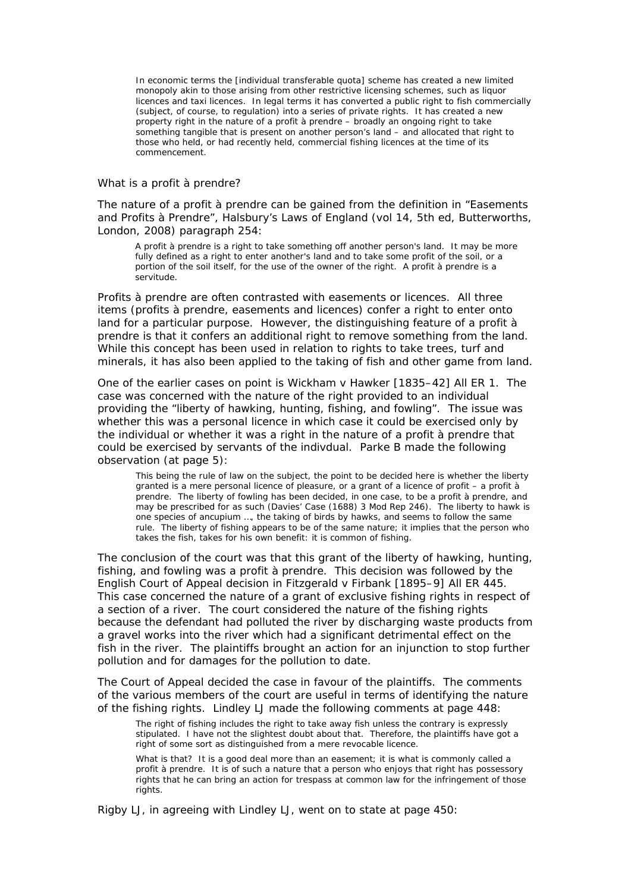In economic terms the [individual transferable quota] scheme has created a new limited monopoly akin to those arising from other restrictive licensing schemes, such as liquor licences and taxi licences. In legal terms it has converted a public right to fish commercially (subject, of course, to regulation) into a series of private rights. It has created a new property right in the nature of a profit à prendre – broadly an ongoing right to take something tangible that is present on another person's land – and allocated that right to those who held, or had recently held, commercial fishing licences at the time of its commencement.

#### *What is a profit à prendre?*

The nature of a profit à prendre can be gained from the definition in "Easements and Profits à Prendre", *Halsbury's Laws of England* (vol 14, 5th ed, Butterworths, London, 2008) paragraph 254:

A profit à prendre is a right to take something off another person's land. It may be more fully defined as a right to enter another's land and to take some profit of the soil, or a portion of the soil itself, for the use of the owner of the right. A profit à prendre is a servitude.

Profits à prendre are often contrasted with easements or licences. All three items (profits à prendre, easements and licences) confer a right to enter onto land for a particular purpose. However, the distinguishing feature of a profit à prendre is that it confers an additional right to remove something from the land. While this concept has been used in relation to rights to take trees, turf and minerals, it has also been applied to the taking of fish and other game from land.

One of the earlier cases on point is *Wickham v Hawker* [1835–42] All ER 1. The case was concerned with the nature of the right provided to an individual providing the "liberty of hawking, hunting, fishing, and fowling". The issue was whether this was a personal licence in which case it could be exercised only by the individual or whether it was a right in the nature of a profit à prendre that could be exercised by servants of the indivdual. Parke B made the following observation (at page 5):

This being the rule of law on the subject, the point to be decided here is whether the liberty granted is a mere personal licence of pleasure, or a grant of a licence of profit – a profit à prendre. The liberty of fowling has been decided, in one case, to be a profit à prendre, and may be prescribed for as such (*Davies' Case* (1688) 3 Mod Rep 246). The liberty to hawk is one species of ancupium …, the taking of birds by hawks, and seems to follow the same rule. The liberty of fishing appears to be of the same nature; it implies that the person who takes the fish, takes for his own benefit: it is common of fishing.

The conclusion of the court was that this grant of the liberty of hawking, hunting, fishing, and fowling was a profit à prendre. This decision was followed by the English Court of Appeal decision in *Fitzgerald v Firbank* [1895–9] All ER 445. This case concerned the nature of a grant of exclusive fishing rights in respect of a section of a river. The court considered the nature of the fishing rights because the defendant had polluted the river by discharging waste products from a gravel works into the river which had a significant detrimental effect on the fish in the river. The plaintiffs brought an action for an injunction to stop further pollution and for damages for the pollution to date.

The Court of Appeal decided the case in favour of the plaintiffs. The comments of the various members of the court are useful in terms of identifying the nature of the fishing rights. Lindley LJ made the following comments at page 448:

The right of fishing includes the right to take away fish unless the contrary is expressly stipulated. I have not the slightest doubt about that. Therefore, the plaintiffs have got a right of some sort as distinguished from a mere revocable licence.

What is that? It is a good deal more than an easement; it is what is commonly called a profit à prendre. It is of such a nature that a person who enjoys that right has possessory rights that he can bring an action for trespass at common law for the infringement of those rights.

Rigby LJ, in agreeing with Lindley LJ, went on to state at page 450: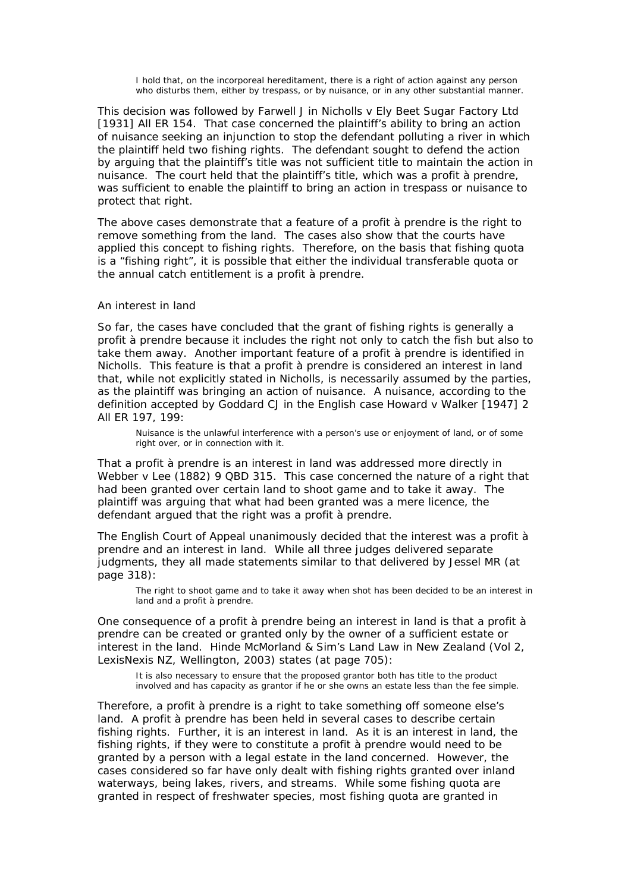I hold that, on the incorporeal hereditament, there is a right of action against any person who disturbs them, either by trespass, or by nuisance, or in any other substantial manner.

This decision was followed by Farwell J in *Nicholls v Ely Beet Sugar Factory Ltd* [1931] All ER 154. That case concerned the plaintiff's ability to bring an action of nuisance seeking an injunction to stop the defendant polluting a river in which the plaintiff held two fishing rights. The defendant sought to defend the action by arguing that the plaintiff's title was not sufficient title to maintain the action in nuisance. The court held that the plaintiff's title, which was a profit à prendre, was sufficient to enable the plaintiff to bring an action in trespass or nuisance to protect that right.

The above cases demonstrate that a feature of a profit à prendre is the right to remove something from the land. The cases also show that the courts have applied this concept to fishing rights. Therefore, on the basis that fishing quota is a "fishing right", it is possible that either the individual transferable quota or the annual catch entitlement is a profit à prendre.

#### *An interest in land*

So far, the cases have concluded that the grant of fishing rights is generally a profit à prendre because it includes the right not only to catch the fish but also to take them away. Another important feature of a profit à prendre is identified in *Nicholls*. This feature is that a profit à prendre is considered an interest in land that, while not explicitly stated in *Nicholls*, is necessarily assumed by the parties, as the plaintiff was bringing an action of nuisance. A nuisance, according to the definition accepted by Goddard CJ in the English case *Howard v Walker* [1947] 2 All ER 197, 199:

Nuisance is the unlawful interference with a person's use or enjoyment of land, or of some right over, or in connection with it.

That a profit à prendre is an interest in land was addressed more directly in *Webber v Lee* (1882) 9 QBD 315. This case concerned the nature of a right that had been granted over certain land to shoot game and to take it away. The plaintiff was arguing that what had been granted was a mere licence, the defendant argued that the right was a profit à prendre.

The English Court of Appeal unanimously decided that the interest was a profit à prendre and an interest in land. While all three judges delivered separate judgments, they all made statements similar to that delivered by Jessel MR (at page 318):

The right to shoot game and to take it away when shot has been decided to be an interest in land and a profit à prendre.

One consequence of a profit à prendre being an interest in land is that a profit à prendre can be created or granted only by the owner of a sufficient estate or interest in the land. *Hinde McMorland & Sim's Land Law in New Zealand* (Vol 2, LexisNexis NZ, Wellington, 2003) states (at page 705):

It is also necessary to ensure that the proposed grantor both has title to the product involved and has capacity as grantor if he or she owns an estate less than the fee simple.

Therefore, a profit à prendre is a right to take something off someone else's land. A profit à prendre has been held in several cases to describe certain fishing rights. Further, it is an interest in land. As it is an interest in land, the fishing rights, if they were to constitute a profit à prendre would need to be granted by a person with a legal estate in the land concerned. However, the cases considered so far have only dealt with fishing rights granted over inland waterways, being lakes, rivers, and streams. While some fishing quota are granted in respect of freshwater species, most fishing quota are granted in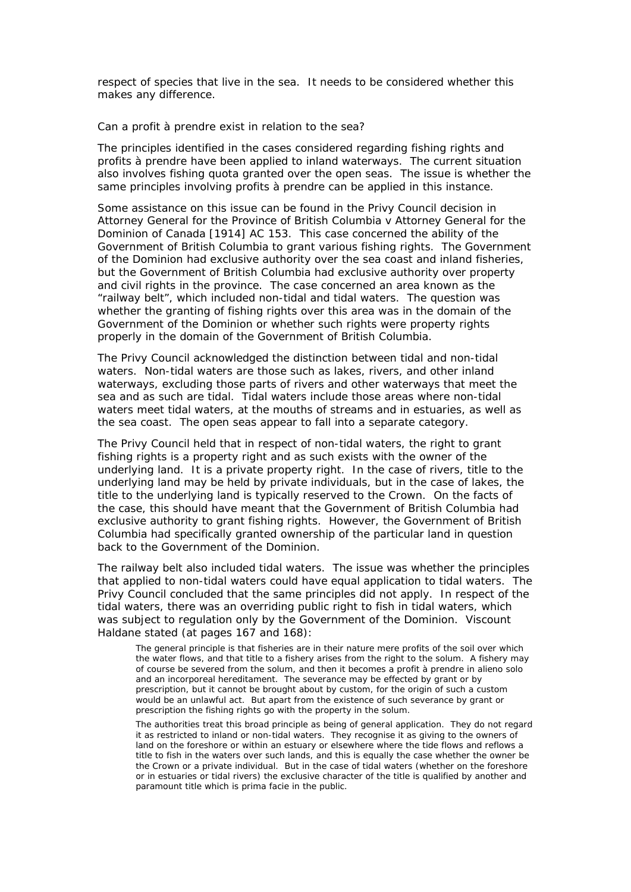respect of species that live in the sea. It needs to be considered whether this makes any difference.

#### *Can a profit à prendre exist in relation to the sea?*

The principles identified in the cases considered regarding fishing rights and profits à prendre have been applied to inland waterways. The current situation also involves fishing quota granted over the open seas. The issue is whether the same principles involving profits à prendre can be applied in this instance.

Some assistance on this issue can be found in the Privy Council decision in *Attorney General for the Province of British Columbia v Attorney General for the Dominion of Canada* [1914] AC 153. This case concerned the ability of the Government of British Columbia to grant various fishing rights. The Government of the Dominion had exclusive authority over the sea coast and inland fisheries, but the Government of British Columbia had exclusive authority over property and civil rights in the province. The case concerned an area known as the "railway belt", which included non-tidal and tidal waters. The question was whether the granting of fishing rights over this area was in the domain of the Government of the Dominion or whether such rights were property rights properly in the domain of the Government of British Columbia.

The Privy Council acknowledged the distinction between tidal and non-tidal waters. Non-tidal waters are those such as lakes, rivers, and other inland waterways, excluding those parts of rivers and other waterways that meet the sea and as such are tidal. Tidal waters include those areas where non-tidal waters meet tidal waters, at the mouths of streams and in estuaries, as well as the sea coast. The open seas appear to fall into a separate category.

The Privy Council held that in respect of non-tidal waters, the right to grant fishing rights is a property right and as such exists with the owner of the underlying land. It is a private property right. In the case of rivers, title to the underlying land may be held by private individuals, but in the case of lakes, the title to the underlying land is typically reserved to the Crown. On the facts of the case, this should have meant that the Government of British Columbia had exclusive authority to grant fishing rights. However, the Government of British Columbia had specifically granted ownership of the particular land in question back to the Government of the Dominion.

The railway belt also included tidal waters. The issue was whether the principles that applied to non-tidal waters could have equal application to tidal waters. The Privy Council concluded that the same principles did not apply. In respect of the tidal waters, there was an overriding public right to fish in tidal waters, which was subject to regulation only by the Government of the Dominion. Viscount Haldane stated (at pages 167 and 168):

The general principle is that fisheries are in their nature mere profits of the soil over which the water flows, and that title to a fishery arises from the right to the solum. A fishery may of course be severed from the solum, and then it becomes a profit à prendre in alieno solo and an incorporeal hereditament. The severance may be effected by grant or by prescription, but it cannot be brought about by custom, for the origin of such a custom would be an unlawful act. But apart from the existence of such severance by grant or prescription the fishing rights go with the property in the solum.

The authorities treat this broad principle as being of general application. They do not regard it as restricted to inland or non-tidal waters. They recognise it as giving to the owners of land on the foreshore or within an estuary or elsewhere where the tide flows and reflows a title to fish in the waters over such lands, and this is equally the case whether the owner be the Crown or a private individual. But in the case of tidal waters (whether on the foreshore or in estuaries or tidal rivers) the exclusive character of the title is qualified by another and paramount title which is prima facie in the public.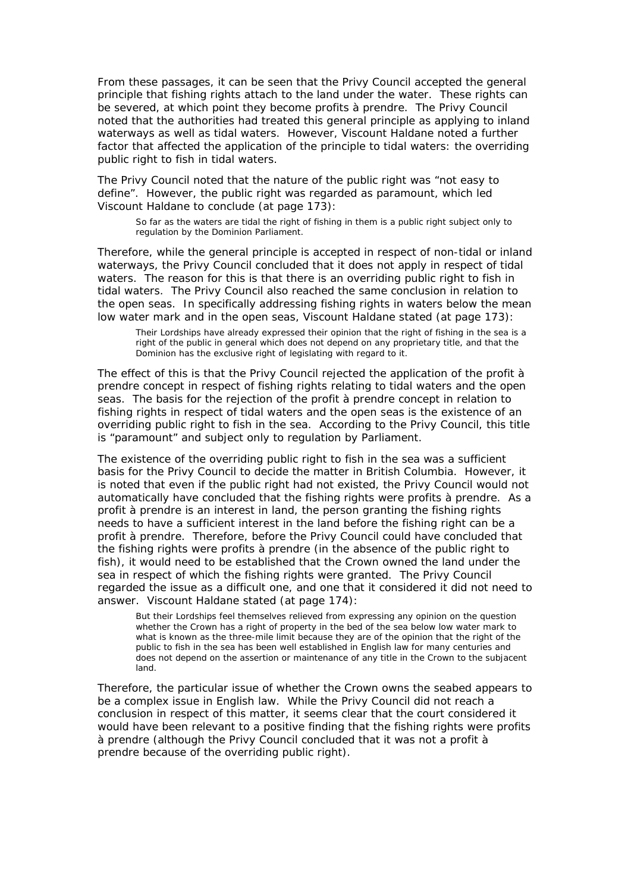From these passages, it can be seen that the Privy Council accepted the general principle that fishing rights attach to the land under the water. These rights can be severed, at which point they become profits à prendre. The Privy Council noted that the authorities had treated this general principle as applying to inland waterways as well as tidal waters. However, Viscount Haldane noted a further factor that affected the application of the principle to tidal waters: the overriding public right to fish in tidal waters.

The Privy Council noted that the nature of the public right was "not easy to define". However, the public right was regarded as paramount, which led Viscount Haldane to conclude (at page 173):

So far as the waters are tidal the right of fishing in them is a public right subject only to regulation by the Dominion Parliament.

Therefore, while the general principle is accepted in respect of non-tidal or inland waterways, the Privy Council concluded that it does not apply in respect of tidal waters. The reason for this is that there is an overriding public right to fish in tidal waters. The Privy Council also reached the same conclusion in relation to the open seas. In specifically addressing fishing rights in waters below the mean low water mark and in the open seas, Viscount Haldane stated (at page 173):

Their Lordships have already expressed their opinion that the right of fishing in the sea is a right of the public in general which does not depend on any proprietary title, and that the Dominion has the exclusive right of legislating with regard to it.

The effect of this is that the Privy Council rejected the application of the profit à prendre concept in respect of fishing rights relating to tidal waters and the open seas. The basis for the rejection of the profit à prendre concept in relation to fishing rights in respect of tidal waters and the open seas is the existence of an overriding public right to fish in the sea. According to the Privy Council, this title is "paramount" and subject only to regulation by Parliament.

The existence of the overriding public right to fish in the sea was a sufficient basis for the Privy Council to decide the matter in *British Columbia*. However, it is noted that even if the public right had not existed, the Privy Council would not automatically have concluded that the fishing rights were profits à prendre. As a profit à prendre is an interest in land, the person granting the fishing rights needs to have a sufficient interest in the land before the fishing right can be a profit à prendre. Therefore, before the Privy Council could have concluded that the fishing rights were profits à prendre (in the absence of the public right to fish), it would need to be established that the Crown owned the land under the sea in respect of which the fishing rights were granted. The Privy Council regarded the issue as a difficult one, and one that it considered it did not need to answer. Viscount Haldane stated (at page 174):

But their Lordships feel themselves relieved from expressing any opinion on the question whether the Crown has a right of property in the bed of the sea below low water mark to what is known as the three-mile limit because they are of the opinion that the right of the public to fish in the sea has been well established in English law for many centuries and does not depend on the assertion or maintenance of any title in the Crown to the subjacent land.

Therefore, the particular issue of whether the Crown owns the seabed appears to be a complex issue in English law. While the Privy Council did not reach a conclusion in respect of this matter, it seems clear that the court considered it would have been relevant to a positive finding that the fishing rights were profits à prendre (although the Privy Council concluded that it was not a profit à prendre because of the overriding public right).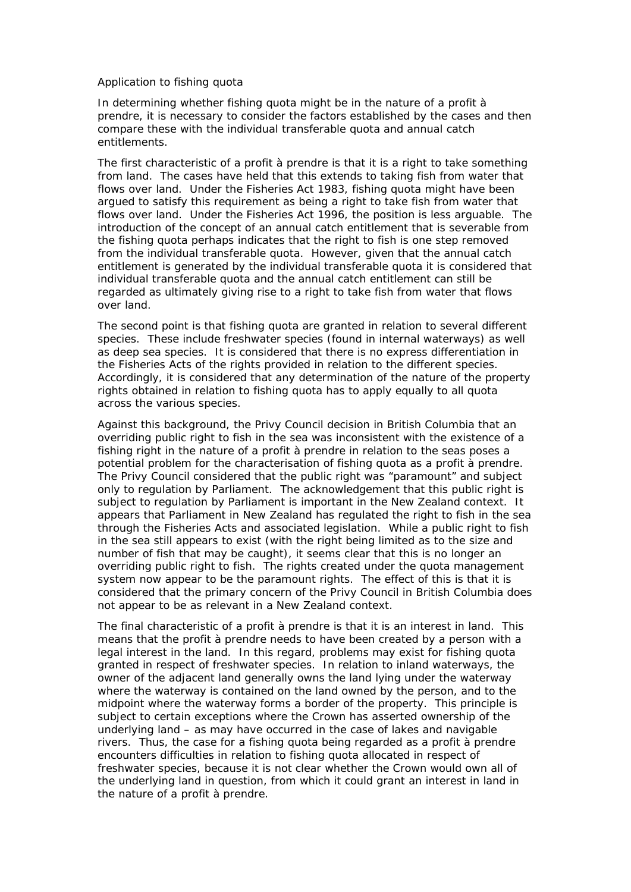### *Application to fishing quota*

In determining whether fishing quota might be in the nature of a profit à prendre, it is necessary to consider the factors established by the cases and then compare these with the individual transferable quota and annual catch entitlements.

The first characteristic of a profit à prendre is that it is a right to take something from land. The cases have held that this extends to taking fish from water that flows over land. Under the Fisheries Act 1983, fishing quota might have been argued to satisfy this requirement as being a right to take fish from water that flows over land. Under the Fisheries Act 1996, the position is less arguable. The introduction of the concept of an annual catch entitlement that is severable from the fishing quota perhaps indicates that the right to fish is one step removed from the individual transferable quota. However, given that the annual catch entitlement is generated by the individual transferable quota it is considered that individual transferable quota and the annual catch entitlement can still be regarded as ultimately giving rise to a right to take fish from water that flows over land.

The second point is that fishing quota are granted in relation to several different species. These include freshwater species (found in internal waterways) as well as deep sea species. It is considered that there is no express differentiation in the Fisheries Acts of the rights provided in relation to the different species. Accordingly, it is considered that any determination of the nature of the property rights obtained in relation to fishing quota has to apply equally to all quota across the various species.

Against this background, the Privy Council decision in *British Columbia* that an overriding public right to fish in the sea was inconsistent with the existence of a fishing right in the nature of a profit à prendre in relation to the seas poses a potential problem for the characterisation of fishing quota as a profit à prendre. The Privy Council considered that the public right was "paramount" and subject only to regulation by Parliament. The acknowledgement that this public right is subject to regulation by Parliament is important in the New Zealand context. It appears that Parliament in New Zealand has regulated the right to fish in the sea through the Fisheries Acts and associated legislation. While a public right to fish in the sea still appears to exist (with the right being limited as to the size and number of fish that may be caught), it seems clear that this is no longer an overriding public right to fish. The rights created under the quota management system now appear to be the paramount rights. The effect of this is that it is considered that the primary concern of the Privy Council in *British Columbia* does not appear to be as relevant in a New Zealand context.

The final characteristic of a profit à prendre is that it is an interest in land. This means that the profit à prendre needs to have been created by a person with a legal interest in the land. In this regard, problems may exist for fishing quota granted in respect of freshwater species. In relation to inland waterways, the owner of the adjacent land generally owns the land lying under the waterway where the waterway is contained on the land owned by the person, and to the midpoint where the waterway forms a border of the property. This principle is subject to certain exceptions where the Crown has asserted ownership of the underlying land – as may have occurred in the case of lakes and navigable rivers. Thus, the case for a fishing quota being regarded as a profit à prendre encounters difficulties in relation to fishing quota allocated in respect of freshwater species, because it is not clear whether the Crown would own all of the underlying land in question, from which it could grant an interest in land in the nature of a profit à prendre.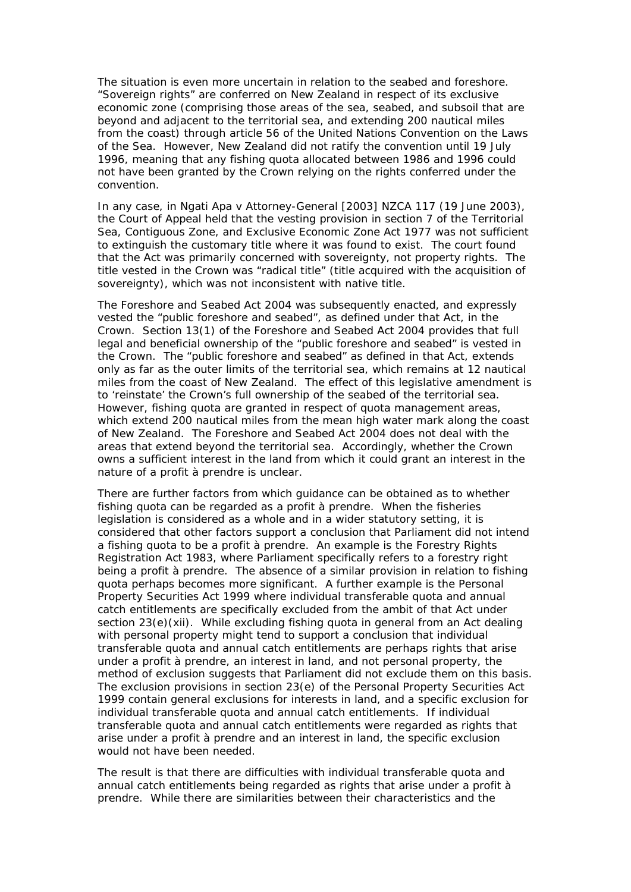The situation is even more uncertain in relation to the seabed and foreshore. "Sovereign rights" are conferred on New Zealand in respect of its exclusive economic zone (comprising those areas of the sea, seabed, and subsoil that are beyond and adjacent to the territorial sea, and extending 200 nautical miles from the coast) through article 56 of the United Nations Convention on the Laws of the Sea. However, New Zealand did not ratify the convention until 19 July 1996, meaning that any fishing quota allocated between 1986 and 1996 could not have been granted by the Crown relying on the rights conferred under the convention.

In any case, in *Ngati Apa v Attorney-General* [2003] NZCA 117 (19 June 2003), the Court of Appeal held that the vesting provision in section 7 of the Territorial Sea, Contiguous Zone, and Exclusive Economic Zone Act 1977 was not sufficient to extinguish the customary title where it was found to exist. The court found that the Act was primarily concerned with sovereignty, not property rights. The title vested in the Crown was "radical title" (title acquired with the acquisition of sovereignty), which was not inconsistent with native title.

The Foreshore and Seabed Act 2004 was subsequently enacted, and expressly vested the "public foreshore and seabed", as defined under that Act, in the Crown. Section 13(1) of the Foreshore and Seabed Act 2004 provides that full legal and beneficial ownership of the "public foreshore and seabed" is vested in the Crown. The "public foreshore and seabed" as defined in that Act, extends only as far as the outer limits of the territorial sea, which remains at 12 nautical miles from the coast of New Zealand. The effect of this legislative amendment is to 'reinstate' the Crown's full ownership of the seabed of the territorial sea. However, fishing quota are granted in respect of quota management areas, which extend 200 nautical miles from the mean high water mark along the coast of New Zealand. The Foreshore and Seabed Act 2004 does not deal with the areas that extend beyond the territorial sea. Accordingly, whether the Crown owns a sufficient interest in the land from which it could grant an interest in the nature of a profit à prendre is unclear.

There are further factors from which guidance can be obtained as to whether fishing quota can be regarded as a profit à prendre. When the fisheries legislation is considered as a whole and in a wider statutory setting, it is considered that other factors support a conclusion that Parliament did not intend a fishing quota to be a profit à prendre. An example is the Forestry Rights Registration Act 1983, where Parliament specifically refers to a forestry right being a profit à prendre. The absence of a similar provision in relation to fishing quota perhaps becomes more significant. A further example is the Personal Property Securities Act 1999 where individual transferable quota and annual catch entitlements are specifically excluded from the ambit of that Act under section 23(e)(xii). While excluding fishing quota in general from an Act dealing with personal property might tend to support a conclusion that individual transferable quota and annual catch entitlements are perhaps rights that arise under a profit à prendre, an interest in land, and not personal property, the method of exclusion suggests that Parliament did not exclude them on this basis. The exclusion provisions in section 23(e) of the Personal Property Securities Act 1999 contain general exclusions for interests in land, and a specific exclusion for individual transferable quota and annual catch entitlements. If individual transferable quota and annual catch entitlements were regarded as rights that arise under a profit à prendre and an interest in land, the specific exclusion would not have been needed.

The result is that there are difficulties with individual transferable quota and annual catch entitlements being regarded as rights that arise under a profit à prendre. While there are similarities between their characteristics and the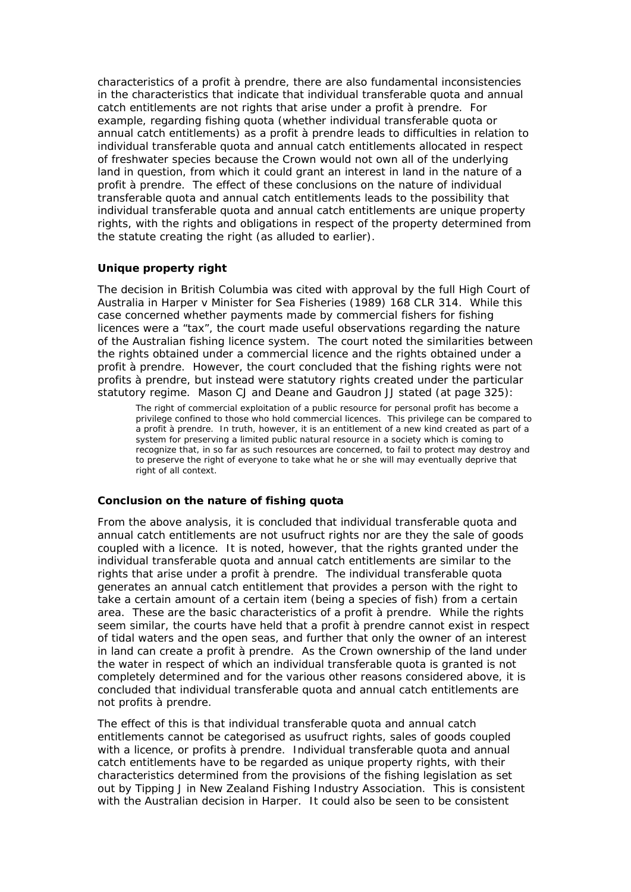characteristics of a profit à prendre, there are also fundamental inconsistencies in the characteristics that indicate that individual transferable quota and annual catch entitlements are not rights that arise under a profit à prendre. For example, regarding fishing quota (whether individual transferable quota or annual catch entitlements) as a profit à prendre leads to difficulties in relation to individual transferable quota and annual catch entitlements allocated in respect of freshwater species because the Crown would not own all of the underlying land in question, from which it could grant an interest in land in the nature of a profit à prendre. The effect of these conclusions on the nature of individual transferable quota and annual catch entitlements leads to the possibility that individual transferable quota and annual catch entitlements are unique property rights, with the rights and obligations in respect of the property determined from the statute creating the right (as alluded to earlier).

### *Unique property right*

The decision in *British Columbia* was cited with approval by the full High Court of Australia in *Harper v Minister for Sea Fisheries* (1989) 168 CLR 314. While this case concerned whether payments made by commercial fishers for fishing licences were a "tax", the court made useful observations regarding the nature of the Australian fishing licence system. The court noted the similarities between the rights obtained under a commercial licence and the rights obtained under a profit à prendre. However, the court concluded that the fishing rights were not profits à prendre, but instead were statutory rights created under the particular statutory regime. Mason CJ and Deane and Gaudron JJ stated (at page 325):

The right of commercial exploitation of a public resource for personal profit has become a privilege confined to those who hold commercial licences. This privilege can be compared to a profit à prendre. In truth, however, it is an entitlement of a new kind created as part of a system for preserving a limited public natural resource in a society which is coming to recognize that, in so far as such resources are concerned, to fail to protect may destroy and to preserve the right of everyone to take what he or she will may eventually deprive that right of all context.

### *Conclusion on the nature of fishing quota*

From the above analysis, it is concluded that individual transferable quota and annual catch entitlements are not usufruct rights nor are they the sale of goods coupled with a licence. It is noted, however, that the rights granted under the individual transferable quota and annual catch entitlements are similar to the rights that arise under a profit à prendre. The individual transferable quota generates an annual catch entitlement that provides a person with the right to take a certain amount of a certain item (being a species of fish) from a certain area. These are the basic characteristics of a profit à prendre. While the rights seem similar, the courts have held that a profit à prendre cannot exist in respect of tidal waters and the open seas, and further that only the owner of an interest in land can create a profit à prendre. As the Crown ownership of the land under the water in respect of which an individual transferable quota is granted is not completely determined and for the various other reasons considered above, it is concluded that individual transferable quota and annual catch entitlements are not profits à prendre.

The effect of this is that individual transferable quota and annual catch entitlements cannot be categorised as usufruct rights, sales of goods coupled with a licence, or profits à prendre. Individual transferable quota and annual catch entitlements have to be regarded as unique property rights, with their characteristics determined from the provisions of the fishing legislation as set out by Tipping J in *New Zealand Fishing Industry Association*. This is consistent with the Australian decision in *Harper*. It could also be seen to be consistent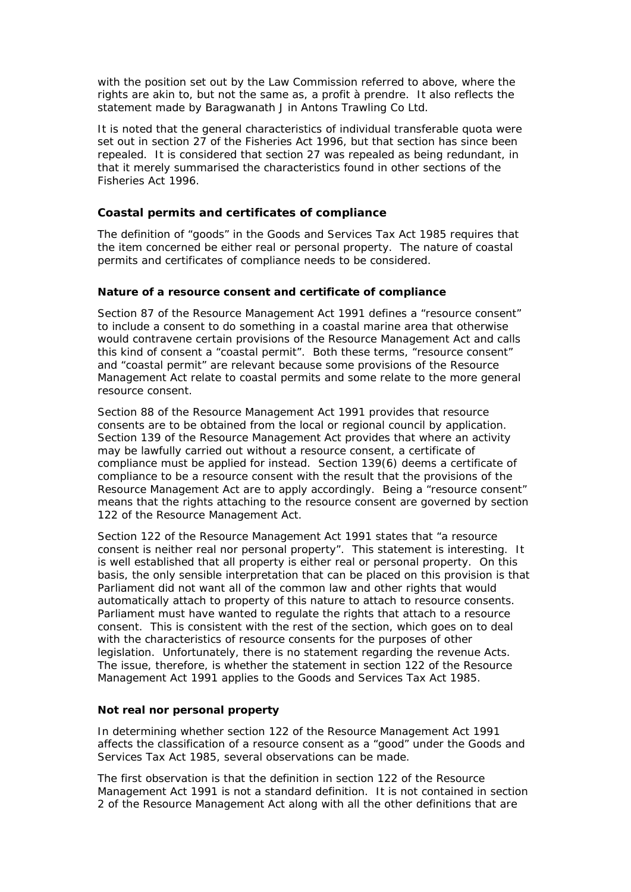with the position set out by the Law Commission referred to above, where the rights are akin to, but not the same as, a profit à prendre. It also reflects the statement made by Baragwanath J in *Antons Trawling Co Ltd*.

It is noted that the general characteristics of individual transferable quota were set out in section 27 of the Fisheries Act 1996, but that section has since been repealed. It is considered that section 27 was repealed as being redundant, in that it merely summarised the characteristics found in other sections of the Fisheries Act 1996.

### **Coastal permits and certificates of compliance**

The definition of "goods" in the Goods and Services Tax Act 1985 requires that the item concerned be either real or personal property. The nature of coastal permits and certificates of compliance needs to be considered.

### *Nature of a resource consent and certificate of compliance*

Section 87 of the Resource Management Act 1991 defines a "resource consent" to include a consent to do something in a coastal marine area that otherwise would contravene certain provisions of the Resource Management Act and calls this kind of consent a "coastal permit". Both these terms, "resource consent" and "coastal permit" are relevant because some provisions of the Resource Management Act relate to coastal permits and some relate to the more general resource consent.

Section 88 of the Resource Management Act 1991 provides that resource consents are to be obtained from the local or regional council by application. Section 139 of the Resource Management Act provides that where an activity may be lawfully carried out without a resource consent, a certificate of compliance must be applied for instead. Section 139(6) deems a certificate of compliance to be a resource consent with the result that the provisions of the Resource Management Act are to apply accordingly. Being a "resource consent" means that the rights attaching to the resource consent are governed by section 122 of the Resource Management Act.

Section 122 of the Resource Management Act 1991 states that "a resource consent is neither real nor personal property". This statement is interesting. It is well established that all property is either real or personal property. On this basis, the only sensible interpretation that can be placed on this provision is that Parliament did not want all of the common law and other rights that would automatically attach to property of this nature to attach to resource consents. Parliament must have wanted to regulate the rights that attach to a resource consent. This is consistent with the rest of the section, which goes on to deal with the characteristics of resource consents for the purposes of other legislation. Unfortunately, there is no statement regarding the revenue Acts. The issue, therefore, is whether the statement in section 122 of the Resource Management Act 1991 applies to the Goods and Services Tax Act 1985.

### *Not real nor personal property*

In determining whether section 122 of the Resource Management Act 1991 affects the classification of a resource consent as a "good" under the Goods and Services Tax Act 1985, several observations can be made.

The first observation is that the definition in section 122 of the Resource Management Act 1991 is not a standard definition. It is not contained in section 2 of the Resource Management Act along with all the other definitions that are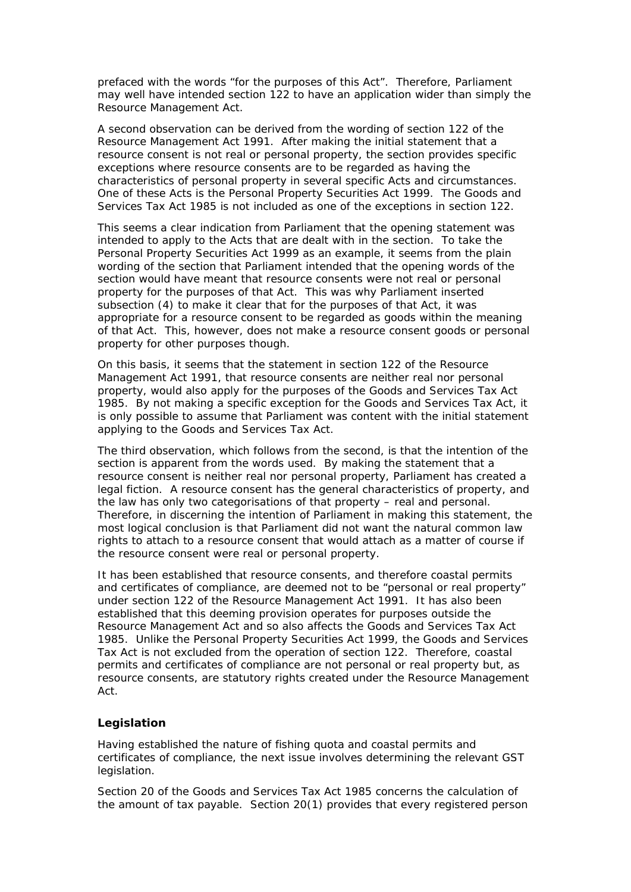prefaced with the words "for the purposes of this Act". Therefore, Parliament may well have intended section 122 to have an application wider than simply the Resource Management Act.

A second observation can be derived from the wording of section 122 of the Resource Management Act 1991. After making the initial statement that a resource consent is not real or personal property, the section provides specific exceptions where resource consents are to be regarded as having the characteristics of personal property in several specific Acts and circumstances. One of these Acts is the Personal Property Securities Act 1999. The Goods and Services Tax Act 1985 is not included as one of the exceptions in section 122.

This seems a clear indication from Parliament that the opening statement was intended to apply to the Acts that are dealt with in the section. To take the Personal Property Securities Act 1999 as an example, it seems from the plain wording of the section that Parliament intended that the opening words of the section would have meant that resource consents were not real or personal property for the purposes of that Act. This was why Parliament inserted subsection (4) to make it clear that for the purposes of that Act, it was appropriate for a resource consent to be regarded as goods within the meaning of that Act. This, however, does not make a resource consent goods or personal property for other purposes though.

On this basis, it seems that the statement in section 122 of the Resource Management Act 1991, that resource consents are neither real nor personal property, would also apply for the purposes of the Goods and Services Tax Act 1985. By not making a specific exception for the Goods and Services Tax Act, it is only possible to assume that Parliament was content with the initial statement applying to the Goods and Services Tax Act.

The third observation, which follows from the second, is that the intention of the section is apparent from the words used. By making the statement that a resource consent is neither real nor personal property, Parliament has created a legal fiction. A resource consent has the general characteristics of property, and the law has only two categorisations of that property – real and personal. Therefore, in discerning the intention of Parliament in making this statement, the most logical conclusion is that Parliament did not want the natural common law rights to attach to a resource consent that would attach as a matter of course if the resource consent were real or personal property.

It has been established that resource consents, and therefore coastal permits and certificates of compliance, are deemed not to be "personal or real property" under section 122 of the Resource Management Act 1991. It has also been established that this deeming provision operates for purposes outside the Resource Management Act and so also affects the Goods and Services Tax Act 1985. Unlike the Personal Property Securities Act 1999, the Goods and Services Tax Act is not excluded from the operation of section 122. Therefore, coastal permits and certificates of compliance are not personal or real property but, as resource consents, are statutory rights created under the Resource Management Act.

### **Legislation**

Having established the nature of fishing quota and coastal permits and certificates of compliance, the next issue involves determining the relevant GST legislation.

Section 20 of the Goods and Services Tax Act 1985 concerns the calculation of the amount of tax payable. Section 20(1) provides that every registered person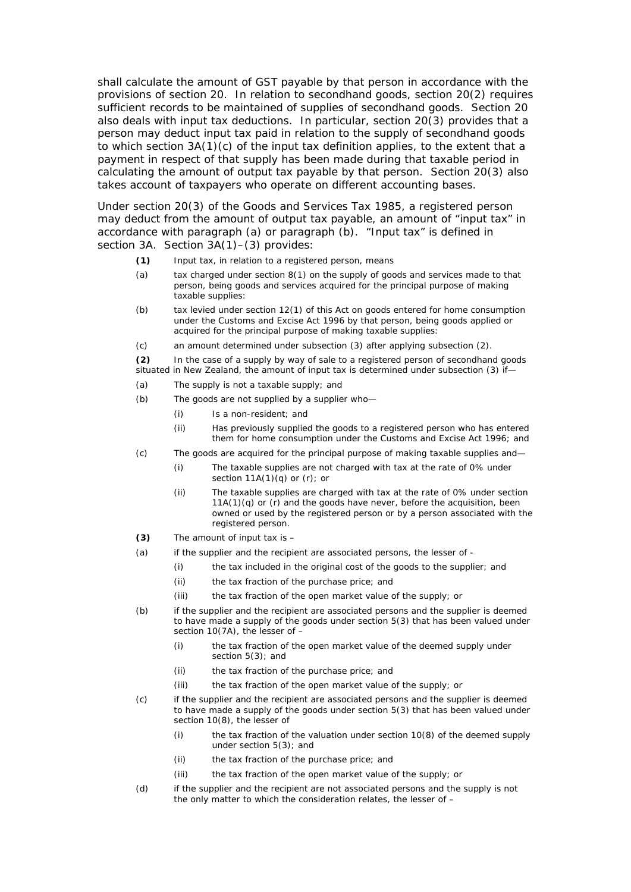shall calculate the amount of GST payable by that person in accordance with the provisions of section 20. In relation to secondhand goods, section 20(2) requires sufficient records to be maintained of supplies of secondhand goods. Section 20 also deals with input tax deductions. In particular, section 20(3) provides that a person may deduct input tax paid in relation to the supply of secondhand goods to which section 3A(1)(c) of the input tax definition applies, to the extent that a payment in respect of that supply has been made during that taxable period in calculating the amount of output tax payable by that person. Section 20(3) also takes account of taxpayers who operate on different accounting bases.

Under section 20(3) of the Goods and Services Tax 1985, a registered person may deduct from the amount of output tax payable, an amount of "input tax" in accordance with paragraph (a) or paragraph (b). "Input tax" is defined in section 3A. Section 3A(1)-(3) provides:

- **(1)** Input tax, in relation to a registered person, means
- (a) tax charged under section 8(1) on the supply of goods and services made to that person, being goods and services acquired for the principal purpose of making taxable supplies:
- (b) tax levied under section 12(1) of this Act on goods entered for home consumption under the Customs and Excise Act 1996 by that person, being goods applied or acquired for the principal purpose of making taxable supplies:
- (c) an amount determined under subsection (3) after applying subsection (2).

**(2)** In the case of a supply by way of sale to a registered person of secondhand goods situated in New Zealand, the amount of input tax is determined under subsection (3) if—

- (a) The supply is not a taxable supply; and
- (b) The goods are not supplied by a supplier who—
	- (i) Is a non-resident; and
	- (ii) Has previously supplied the goods to a registered person who has entered them for home consumption under the Customs and Excise Act 1996; and
- (c) The goods are acquired for the principal purpose of making taxable supplies and—
	- (i) The taxable supplies are not charged with tax at the rate of 0% under section  $11A(1)(q)$  or  $(r)$ ; or
	- (ii) The taxable supplies are charged with tax at the rate of 0% under section  $11A(1)(q)$  or  $(r)$  and the goods have never, before the acquisition, been owned or used by the registered person or by a person associated with the registered person.
- **(3)** The amount of input tax is –
- (a) if the supplier and the recipient are associated persons, the lesser of
	- (i) the tax included in the original cost of the goods to the supplier; and
	- (ii) the tax fraction of the purchase price; and
	- (iii) the tax fraction of the open market value of the supply; or
- (b) if the supplier and the recipient are associated persons and the supplier is deemed to have made a supply of the goods under section 5(3) that has been valued under section 10(7A), the lesser of –
	- (i) the tax fraction of the open market value of the deemed supply under section 5(3); and
	- (ii) the tax fraction of the purchase price; and
	- (iii) the tax fraction of the open market value of the supply; or
- (c) if the supplier and the recipient are associated persons and the supplier is deemed to have made a supply of the goods under section 5(3) that has been valued under section 10(8), the lesser of
	- (i) the tax fraction of the valuation under section 10(8) of the deemed supply under section 5(3); and
	- (ii) the tax fraction of the purchase price; and
	- (iii) the tax fraction of the open market value of the supply; or
- (d) if the supplier and the recipient are not associated persons and the supply is not the only matter to which the consideration relates, the lesser of –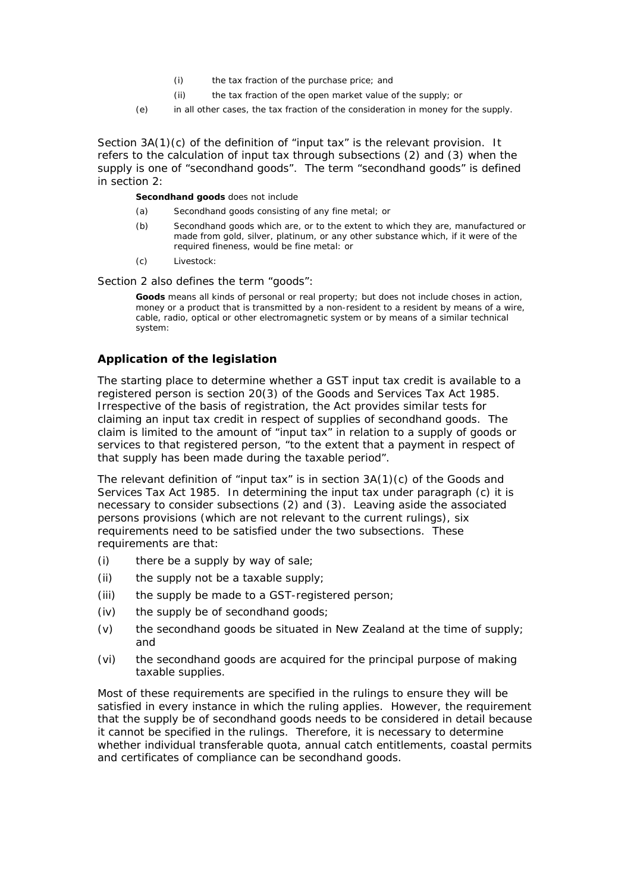- (i) the tax fraction of the purchase price; and
- (ii) the tax fraction of the open market value of the supply; or
- (e) in all other cases, the tax fraction of the consideration in money for the supply.

Section 3A(1)(c) of the definition of "input tax" is the relevant provision. It refers to the calculation of input tax through subsections (2) and (3) when the supply is one of "secondhand goods". The term "secondhand goods" is defined in section 2:

**Secondhand goods** does not include

- (a) Secondhand goods consisting of any fine metal; or
- (b) Secondhand goods which are, or to the extent to which they are, manufactured or made from gold, silver, platinum, or any other substance which, if it were of the required fineness, would be fine metal: or
- (c) Livestock:

Section 2 also defines the term "goods":

**Goods** means all kinds of personal or real property; but does not include choses in action, money or a product that is transmitted by a non-resident to a resident by means of a wire, cable, radio, optical or other electromagnetic system or by means of a similar technical system:

### **Application of the legislation**

The starting place to determine whether a GST input tax credit is available to a registered person is section 20(3) of the Goods and Services Tax Act 1985. Irrespective of the basis of registration, the Act provides similar tests for claiming an input tax credit in respect of supplies of secondhand goods. The claim is limited to the amount of "input tax" in relation to a supply of goods or services to that registered person, "to the extent that a payment in respect of that supply has been made during the taxable period".

The relevant definition of "input tax" is in section 3A(1)(c) of the Goods and Services Tax Act 1985. In determining the input tax under paragraph (c) it is necessary to consider subsections (2) and (3). Leaving aside the associated persons provisions (which are not relevant to the current rulings), six requirements need to be satisfied under the two subsections. These requirements are that:

- (i) there be a supply by way of sale;
- (ii) the supply not be a taxable supply;
- (iii) the supply be made to a GST-registered person;
- (iv) the supply be of secondhand goods;
- (v) the secondhand goods be situated in New Zealand at the time of supply; and
- (vi) the secondhand goods are acquired for the principal purpose of making taxable supplies.

Most of these requirements are specified in the rulings to ensure they will be satisfied in every instance in which the ruling applies. However, the requirement that the supply be of secondhand goods needs to be considered in detail because it cannot be specified in the rulings. Therefore, it is necessary to determine whether individual transferable quota, annual catch entitlements, coastal permits and certificates of compliance can be secondhand goods.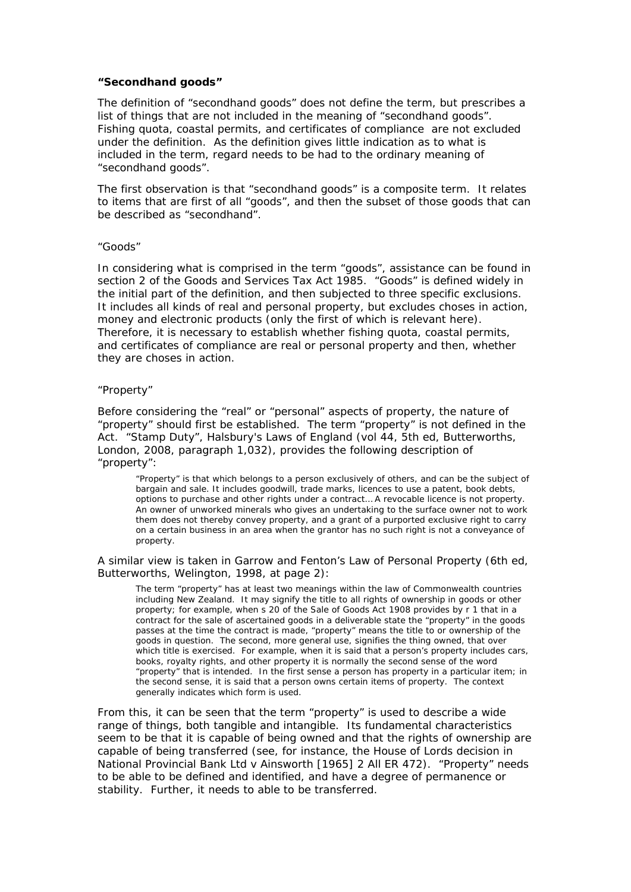#### *"Secondhand goods"*

The definition of "secondhand goods" does not define the term, but prescribes a list of things that are not included in the meaning of "secondhand goods". Fishing quota, coastal permits, and certificates of compliance are not excluded under the definition. As the definition gives little indication as to what is included in the term, regard needs to be had to the ordinary meaning of "secondhand goods".

The first observation is that "secondhand goods" is a composite term. It relates to items that are first of all "goods", and then the subset of those goods that can be described as "secondhand".

#### *"Goods"*

In considering what is comprised in the term "goods", assistance can be found in section 2 of the Goods and Services Tax Act 1985. "Goods" is defined widely in the initial part of the definition, and then subjected to three specific exclusions. It includes all kinds of real and personal property, but excludes choses in action, money and electronic products (only the first of which is relevant here). Therefore, it is necessary to establish whether fishing quota, coastal permits, and certificates of compliance are real or personal property and then, whether they are choses in action.

#### *"Property"*

Before considering the "real" or "personal" aspects of property, the nature of "property" should first be established. The term "property" is not defined in the Act. "Stamp Duty", *Halsbury's Laws of England* (vol 44, 5th ed, Butterworths, London, 2008, paragraph 1,032), provides the following description of "property":

"Property" is that which belongs to a person exclusively of others, and can be the subject of bargain and sale. It includes goodwill, trade marks, licences to use a patent, book debts, options to purchase and other rights under a contract… A revocable licence is not property. An owner of unworked minerals who gives an undertaking to the surface owner not to work them does not thereby convey property, and a grant of a purported exclusive right to carry on a certain business in an area when the grantor has no such right is not a conveyance of property.

A similar view is taken in Garrow and Fenton's *Law of Personal Property* (6th ed, Butterworths, Welington, 1998, at page 2):

The term "property" has at least two meanings within the law of Commonwealth countries including New Zealand. It may signify the title to all rights of ownership in goods or other property; for example, when s 20 of the Sale of Goods Act 1908 provides by r 1 that in a contract for the sale of ascertained goods in a deliverable state the "property" in the goods passes at the time the contract is made, "property" means the title to or ownership of the goods in question. The second, more general use, signifies the thing owned, that over which title is exercised. For example, when it is said that a person's property includes cars, books, royalty rights, and other property it is normally the second sense of the word "property" that is intended. In the first sense a person has property in a particular item; in the second sense, it is said that a person owns certain items of property. The context generally indicates which form is used.

From this, it can be seen that the term "property" is used to describe a wide range of things, both tangible and intangible. Its fundamental characteristics seem to be that it is capable of being owned and that the rights of ownership are capable of being transferred (see, for instance, the House of Lords decision in *National Provincial Bank Ltd v Ainsworth* [1965] 2 All ER 472). "Property" needs to be able to be defined and identified, and have a degree of permanence or stability. Further, it needs to able to be transferred.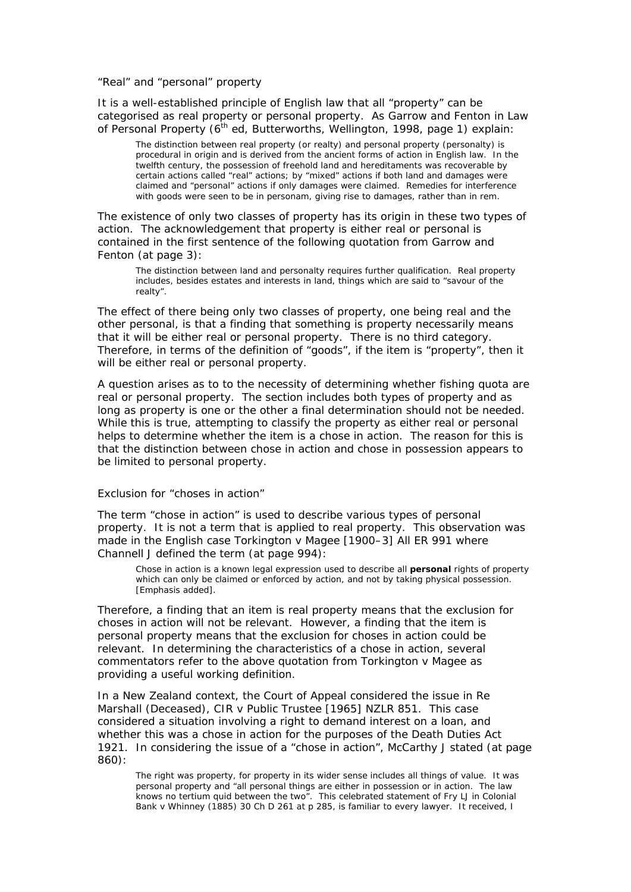#### *"Real" and "personal" property*

It is a well-established principle of English law that all "property" can be categorised as real property or personal property. As Garrow and Fenton in *Law of Personal Property* (6<sup>th</sup> ed, Butterworths, Wellington, 1998, page 1) explain:

The distinction between real property (or realty) and personal property (personalty) is procedural in origin and is derived from the ancient forms of action in English law. In the twelfth century, the possession of freehold land and hereditaments was recoverable by certain actions called "real" actions; by "mixed" actions if both land and damages were claimed and "personal" actions if only damages were claimed. Remedies for interference with goods were seen to be in personam, giving rise to damages, rather than in rem.

The existence of only two classes of property has its origin in these two types of action. The acknowledgement that property is either real or personal is contained in the first sentence of the following quotation from Garrow and Fenton (at page 3):

The distinction between land and personalty requires further qualification. Real property includes, besides estates and interests in land, things which are said to "savour of the realty".

The effect of there being only two classes of property, one being real and the other personal, is that a finding that something is property necessarily means that it will be either real or personal property. There is no third category. Therefore, in terms of the definition of "goods", if the item is "property", then it will be either real or personal property.

A question arises as to to the necessity of determining whether fishing quota are real or personal property. The section includes both types of property and as long as property is one or the other a final determination should not be needed. While this is true, attempting to classify the property as either real or personal helps to determine whether the item is a chose in action. The reason for this is that the distinction between chose in action and chose in possession appears to be limited to personal property.

#### *Exclusion for "choses in action"*

The term "chose in action" is used to describe various types of personal property. It is not a term that is applied to real property. This observation was made in the English case *Torkington v Magee* [1900–3] All ER 991 where Channell J defined the term (at page 994):

Chose in action is a known legal expression used to describe all *personal* rights of property which can only be claimed or enforced by action, and not by taking physical possession. [Emphasis added].

Therefore, a finding that an item is real property means that the exclusion for choses in action will not be relevant. However, a finding that the item is personal property means that the exclusion for choses in action could be relevant. In determining the characteristics of a chose in action, several commentators refer to the above quotation from *Torkington v Magee* as providing a useful working definition.

In a New Zealand context, the Court of Appeal considered the issue in *Re Marshall (Deceased), CIR v Public Trustee* [1965] NZLR 851. This case considered a situation involving a right to demand interest on a loan, and whether this was a chose in action for the purposes of the Death Duties Act 1921. In considering the issue of a "chose in action", McCarthy J stated (at page 860):

The right was property, for property in its wider sense includes all things of value. It was personal property and "all personal things are either in possession or in action. The law knows no *tertium quid* between the two". This celebrated statement of Fry LJ in *Colonial Bank v Whinney* (1885) 30 Ch D 261 at p 285, is familiar to every lawyer. It received, I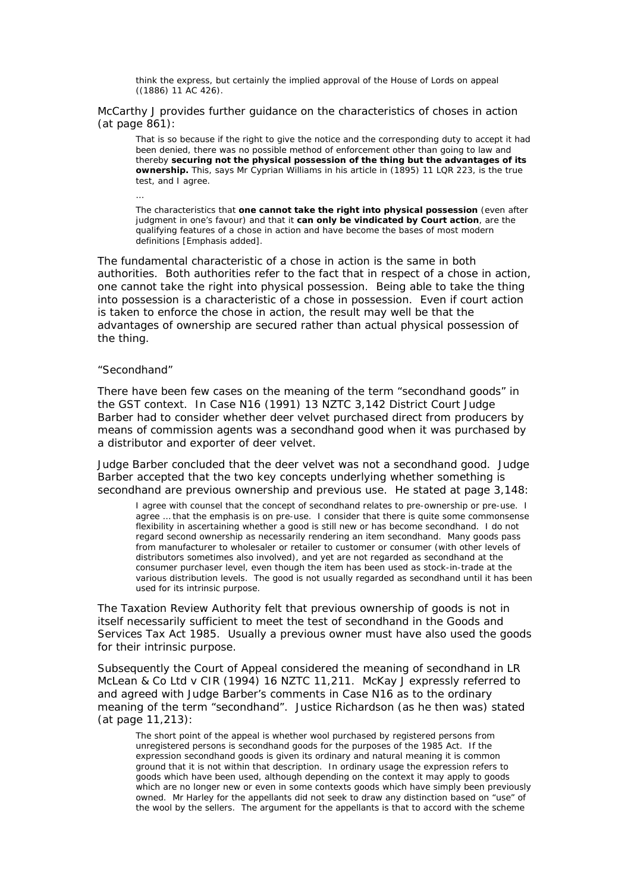think the express, but certainly the implied approval of the House of Lords on appeal ((1886) 11 AC 426).

McCarthy J provides further guidance on the characteristics of choses in action (at page 861):

That is so because if the right to give the notice and the corresponding duty to accept it had been denied, there was no possible method of enforcement other than going to law and thereby **securing not the physical possession of the thing but the advantages of its ownership.** This, says Mr Cyprian Williams in his article in (1895) 11 LQR 223, is the true test, and I agree.

The characteristics that **one cannot take the right into physical possession** (even after judgment in one's favour) and that it **can only be vindicated by Court action**, are the qualifying features of a chose in action and have become the bases of most modern definitions [Emphasis added].

The fundamental characteristic of a chose in action is the same in both authorities. Both authorities refer to the fact that in respect of a chose in action, one cannot take the right into physical possession. Being able to take the thing into possession is a characteristic of a chose in possession. Even if court action is taken to enforce the chose in action, the result may well be that the advantages of ownership are secured rather than actual physical possession of the thing.

#### *"Secondhand"*

…

There have been few cases on the meaning of the term "secondhand goods" in the GST context. In *Case N16* (1991) 13 NZTC 3,142 District Court Judge Barber had to consider whether deer velvet purchased direct from producers by means of commission agents was a secondhand good when it was purchased by a distributor and exporter of deer velvet.

Judge Barber concluded that the deer velvet was not a secondhand good. Judge Barber accepted that the two key concepts underlying whether something is secondhand are previous ownership and previous use. He stated at page 3,148:

I agree with counsel that the concept of secondhand relates to pre-ownership or pre-use. I agree … that the emphasis is on pre-use. I consider that there is quite some commonsense flexibility in ascertaining whether a good is still new or has become secondhand. I do not regard second ownership as necessarily rendering an item secondhand. Many goods pass from manufacturer to wholesaler or retailer to customer or consumer (with other levels of distributors sometimes also involved), and yet are not regarded as secondhand at the consumer purchaser level, even though the item has been used as stock-in-trade at the various distribution levels. The good is not usually regarded as secondhand until it has been used for its intrinsic purpose.

The Taxation Review Authority felt that previous ownership of goods is not in itself necessarily sufficient to meet the test of secondhand in the Goods and Services Tax Act 1985. Usually a previous owner must have also used the goods for their intrinsic purpose.

Subsequently the Court of Appeal considered the meaning of secondhand in *LR McLean & Co Ltd v CIR* (1994) 16 NZTC 11,211. McKay J expressly referred to and agreed with Judge Barber's comments in *Case N16* as to the ordinary meaning of the term "secondhand". Justice Richardson (as he then was) stated (at page 11,213):

The short point of the appeal is whether wool purchased by registered persons from unregistered persons is secondhand goods for the purposes of the 1985 Act. If the expression secondhand goods is given its ordinary and natural meaning it is common ground that it is not within that description. In ordinary usage the expression refers to goods which have been used, although depending on the context it may apply to goods which are no longer new or even in some contexts goods which have simply been previously owned. Mr Harley for the appellants did not seek to draw any distinction based on "use" of the wool by the sellers. The argument for the appellants is that to accord with the scheme

20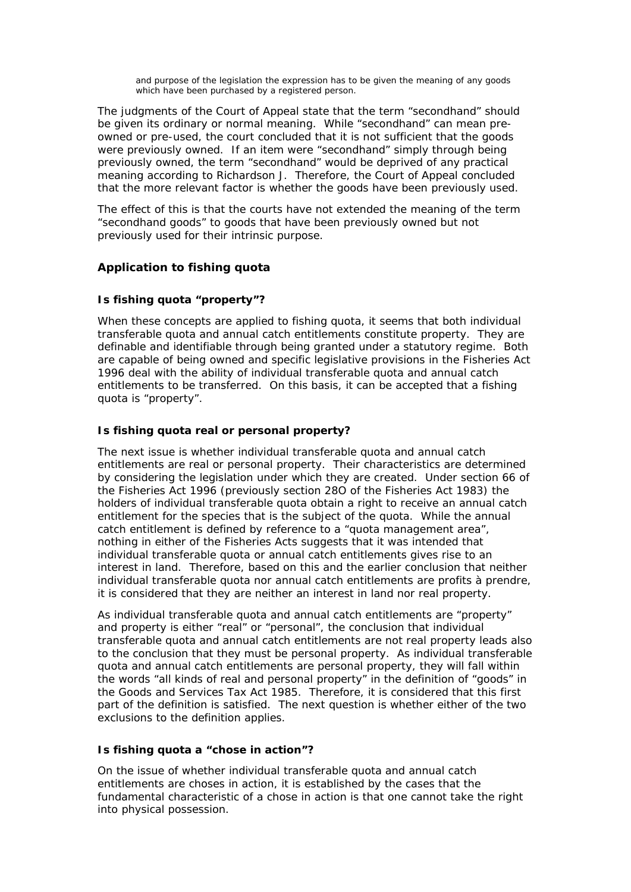and purpose of the legislation the expression has to be given the meaning of any goods which have been purchased by a registered person.

The judgments of the Court of Appeal state that the term "secondhand" should be given its ordinary or normal meaning. While "secondhand" can mean preowned or pre-used, the court concluded that it is not sufficient that the goods were previously owned. If an item were "secondhand" simply through being previously owned, the term "secondhand" would be deprived of any practical meaning according to Richardson J. Therefore, the Court of Appeal concluded that the more relevant factor is whether the goods have been previously used.

The effect of this is that the courts have not extended the meaning of the term "secondhand goods" to goods that have been previously owned but not previously used for their intrinsic purpose.

# **Application to fishing quota**

# *Is fishing quota "property"?*

When these concepts are applied to fishing quota, it seems that both individual transferable quota and annual catch entitlements constitute property. They are definable and identifiable through being granted under a statutory regime. Both are capable of being owned and specific legislative provisions in the Fisheries Act 1996 deal with the ability of individual transferable quota and annual catch entitlements to be transferred. On this basis, it can be accepted that a fishing quota is "property".

# *Is fishing quota real or personal property?*

The next issue is whether individual transferable quota and annual catch entitlements are real or personal property. Their characteristics are determined by considering the legislation under which they are created. Under section 66 of the Fisheries Act 1996 (previously section 28O of the Fisheries Act 1983) the holders of individual transferable quota obtain a right to receive an annual catch entitlement for the species that is the subject of the quota. While the annual catch entitlement is defined by reference to a "quota management area", nothing in either of the Fisheries Acts suggests that it was intended that individual transferable quota or annual catch entitlements gives rise to an interest in land. Therefore, based on this and the earlier conclusion that neither individual transferable quota nor annual catch entitlements are profits à prendre, it is considered that they are neither an interest in land nor real property.

As individual transferable quota and annual catch entitlements are "property" and property is either "real" or "personal", the conclusion that individual transferable quota and annual catch entitlements are not real property leads also to the conclusion that they must be personal property. As individual transferable quota and annual catch entitlements are personal property, they will fall within the words "all kinds of real and personal property" in the definition of "goods" in the Goods and Services Tax Act 1985. Therefore, it is considered that this first part of the definition is satisfied. The next question is whether either of the two exclusions to the definition applies.

# *Is fishing quota a "chose in action"?*

On the issue of whether individual transferable quota and annual catch entitlements are choses in action, it is established by the cases that the fundamental characteristic of a chose in action is that one cannot take the right into physical possession.